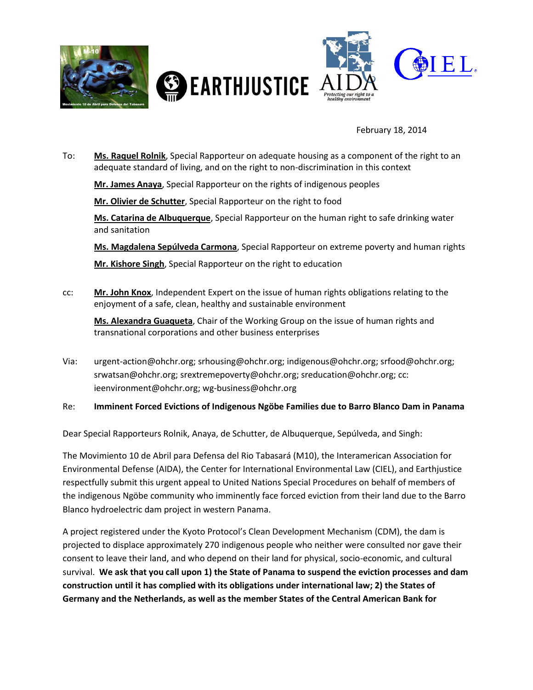

February 18, 2014

- To: **Ms. Raquel Rolnik**, Special Rapporteur on adequate housing as a component of the right to an adequate standard of living, and on the right to non-discrimination in this context **Mr. James Anaya**, Special Rapporteur on the rights of indigenous peoples **Mr. Olivier de Schutter**, Special Rapporteur on the right to food **Ms. Catarina de Albuquerque**, Special Rapporteur on the human right to safe drinking water and sanitation **Ms. Magdalena Sepúlveda Carmona**, Special Rapporteur on extreme poverty and human rights **Mr. Kishore Singh**, Special Rapporteur on the right to education
- cc: **Mr. John Knox**, Independent Expert on the issue of human rights obligations relating to the enjoyment of a safe, clean, healthy and sustainable environment

**Ms. Alexandra Guaqueta**, Chair of the Working Group on the issue of human rights and transnational corporations and other business enterprises

Via: urgent-action@ohchr.org; srhousing@ohchr.org; indigenous@ohchr.org; srfood@ohchr.org; srwatsan@ohchr.org; srextremepoverty@ohchr.org; sreducation@ohchr.org; cc: ieenvironment@ohchr.org; wg-business@ohchr.org

#### Re: **Imminent Forced Evictions of Indigenous Ngöbe Families due to Barro Blanco Dam in Panama**

Dear Special Rapporteurs Rolnik, Anaya, de Schutter, de Albuquerque, Sepúlveda, and Singh:

The Movimiento 10 de Abril para Defensa del Rio Tabasará (M10), the Interamerican Association for Environmental Defense (AIDA), the Center for International Environmental Law (CIEL), and Earthjustice respectfully submit this urgent appeal to United Nations Special Procedures on behalf of members of the indigenous Ngöbe community who imminently face forced eviction from their land due to the Barro Blanco hydroelectric dam project in western Panama.

A project registered under the Kyoto Protocol's Clean Development Mechanism (CDM), the dam is projected to displace approximately 270 indigenous people who neither were consulted nor gave their consent to leave their land, and who depend on their land for physical, socio-economic, and cultural survival. **We ask that you call upon 1) the State of Panama to suspend the eviction processes and dam construction until it has complied with its obligations under international law; 2) the States of Germany and the Netherlands, as well as the member States of the Central American Bank for**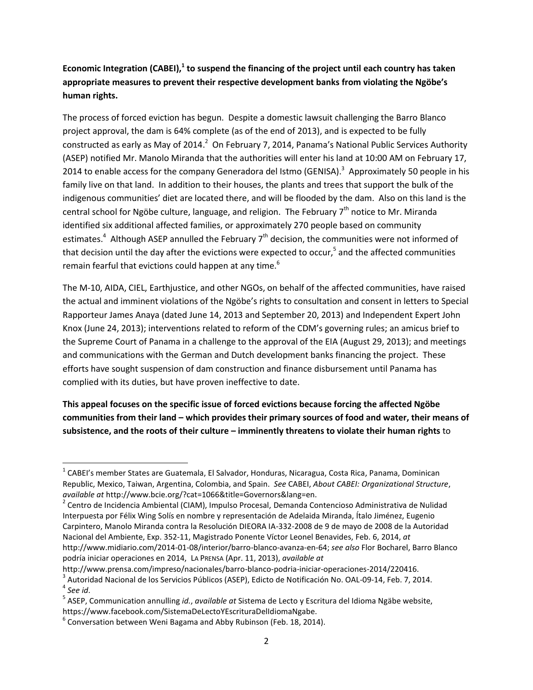# **Economic Integration (CABEI),<sup>1</sup> to suspend the financing of the project until each country has taken appropriate measures to prevent their respective development banks from violating the Ngöbe's human rights.**

The process of forced eviction has begun. Despite a domestic lawsuit challenging the Barro Blanco project approval, the dam is 64% complete (as of the end of 2013), and is expected to be fully constructed as early as May of 2014.<sup>2</sup> On February 7, 2014, Panama's National Public Services Authority (ASEP) notified Mr. Manolo Miranda that the authorities will enter his land at 10:00 AM on February 17, 2014 to enable access for the company Generadora del Istmo (GENISA).<sup>3</sup> Approximately 50 people in his family live on that land. In addition to their houses, the plants and trees that support the bulk of the indigenous communities' diet are located there, and will be flooded by the dam. Also on this land is the central school for Ngöbe culture, language, and religion. The February  $7<sup>th</sup>$  notice to Mr. Miranda identified six additional affected families, or approximately 270 people based on community estimates.<sup>4</sup> Although ASEP annulled the February 7<sup>th</sup> decision, the communities were not informed of that decision until the day after the evictions were expected to occur,<sup>5</sup> and the affected communities remain fearful that evictions could happen at any time.<sup>6</sup>

The M-10, AIDA, CIEL, Earthjustice, and other NGOs, on behalf of the affected communities, have raised the actual and imminent violations of the Ngöbe's rights to consultation and consent in letters to Special Rapporteur James Anaya (dated June 14, 2013 and September 20, 2013) and Independent Expert John Knox (June 24, 2013); interventions related to reform of the CDM's governing rules; an amicus brief to the Supreme Court of Panama in a challenge to the approval of the EIA (August 29, 2013); and meetings and communications with the German and Dutch development banks financing the project. These efforts have sought suspension of dam construction and finance disbursement until Panama has complied with its duties, but have proven ineffective to date.

**This appeal focuses on the specific issue of forced evictions because forcing the affected Ngöbe communities from their land – which provides their primary sources of food and water, their means of subsistence, and the roots of their culture – imminently threatens to violate their human rights** to

<sup>&</sup>lt;sup>1</sup> CABEI's member States are Guatemala, El Salvador, Honduras, Nicaragua, Costa Rica, Panama, Dominican Republic, Mexico, Taiwan, Argentina, Colombia, and Spain. *See* CABEI, *About CABEI: Organizational Structure*, *available at* http://www.bcie.org/?cat=1066&title=Governors&lang=en.

<sup>&</sup>lt;sup>2</sup> Centro de Incidencia Ambiental (CIAM), Impulso Procesal, Demanda Contencioso Administrativa de Nulidad Interpuesta por Félix Wing Solís en nombre y representación de Adelaida Miranda, Ítalo Jiménez, Eugenio Carpintero, Manolo Miranda contra la Resolución DIEORA IA-332-2008 de 9 de mayo de 2008 de la Autoridad Nacional del Ambiente, Exp. 352-11, Magistrado Ponente Víctor Leonel Benavides, Feb. 6, 2014, *at* [http://www.midiario.com/2014-01-08/interior/barro-blanco-avanza-en-64;](http://www.midiario.com/2014-01-08/interior/barro-blanco-avanza-en-64) *see also* Flor Bocharel, Barro Blanco podría iniciar operaciones en 2014, LA PRENSA (Apr. 11, 2013), *available at*

[http://www.prensa.com/impreso/nacionales/barro-blanco-podria-iniciar-operaciones-2014/220416.](http://www.prensa.com/impreso/nacionales/barro-blanco-podria-iniciar-operaciones-2014/220416)

 $^3$  Autoridad Nacional de los Servicios Públicos (ASEP), Edicto de Notificación No. OAL-09-14, Feb. 7, 2014. 4 *See id*.

<sup>5</sup> ASEP, Communication annulling *id.*, *available at* Sistema de Lecto y Escritura del Idioma Ngäbe website, https://www.facebook.com/SistemaDeLectoYEscrituraDelIdiomaNgabe.

 $^6$  Conversation between Weni Bagama and Abby Rubinson (Feb. 18, 2014).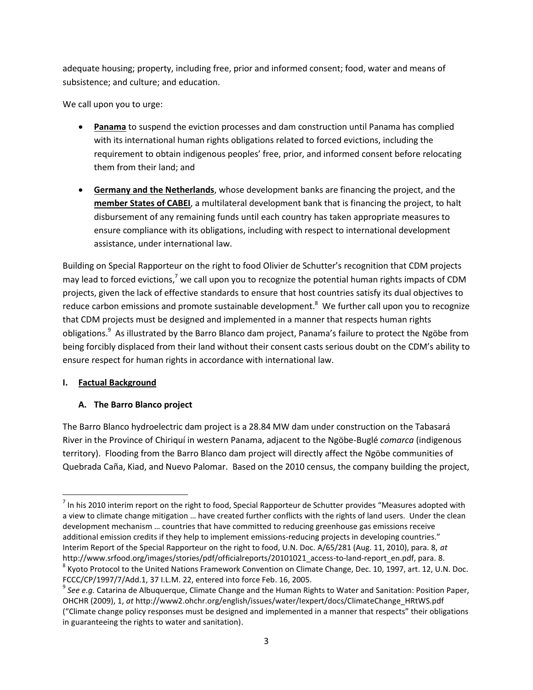adequate housing; property, including free, prior and informed consent; food, water and means of subsistence; and culture; and education.

We call upon you to urge:

- **Panama** to suspend the eviction processes and dam construction until Panama has complied with its international human rights obligations related to forced evictions, including the requirement to obtain indigenous peoples' free, prior, and informed consent before relocating them from their land; and
- **Germany and the Netherlands**, whose development banks are financing the project, and the **member States of CABEI**, a multilateral development bank that is financing the project, to halt disbursement of any remaining funds until each country has taken appropriate measures to ensure compliance with its obligations, including with respect to international development assistance, under international law.

Building on Special Rapporteur on the right to food Olivier de Schutter's recognition that CDM projects may lead to forced evictions,<sup>7</sup> we call upon you to recognize the potential human rights impacts of CDM projects, given the lack of effective standards to ensure that host countries satisfy its dual objectives to reduce carbon emissions and promote sustainable development.<sup>8</sup> We further call upon you to recognize that CDM projects must be designed and implemented in a manner that respects human rights obligations.<sup>9</sup> As illustrated by the Barro Blanco dam project, Panama's failure to protect the Ngöbe from being forcibly displaced from their land without their consent casts serious doubt on the CDM's ability to ensure respect for human rights in accordance with international law.

#### **I. Factual Background**

 $\overline{\phantom{a}}$ 

## **A. The Barro Blanco project**

The Barro Blanco hydroelectric dam project is a 28.84 MW dam under construction on the Tabasará River in the Province of Chiriquí in western Panama, adjacent to the Ngöbe-Buglé *comarca* (indigenous territory). Flooding from the Barro Blanco dam project will directly affect the Ngöbe communities of Quebrada Caña, Kiad, and Nuevo Palomar. Based on the 2010 census, the company building the project,

 $^7$  In his 2010 interim report on the right to food, Special Rapporteur de Schutter provides "Measures adopted with a view to climate change mitigation … have created further conflicts with the rights of land users. Under the clean development mechanism … countries that have committed to reducing greenhouse gas emissions receive additional emission credits if they help to implement emissions-reducing projects in developing countries." Interim Report of the Special Rapporteur on the right to food, U.N. Doc. A/65/281 (Aug. 11, 2010), para. 8, *at*  http://www.srfood.org/images/stories/pdf/officialreports/20101021\_access-to-land-report\_en.pdf, para. 8.

 $^8$  Kyoto Protocol to the United Nations Framework Convention on Climate Change, Dec. 10, 1997, art. 12, U.N. Doc. FCCC/CP/1997/7/Add.1, 37 I.L.M. 22, entered into force Feb. 16, 2005.

<sup>&</sup>lt;sup>9</sup> See e.g. Catarina de Albuquerque, Climate Change and the Human Rights to Water and Sanitation: Position Paper, OHCHR (2009), 1, *at* http://www2.ohchr.org/english/issues/water/Iexpert/docs/ClimateChange\_HRtWS.pdf ("Climate change policy responses must be designed and implemented in a manner that respects" their obligations in guaranteeing the rights to water and sanitation).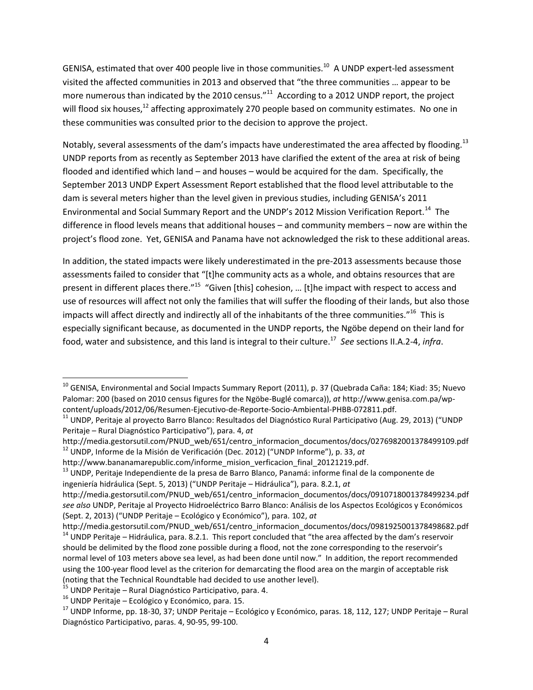GENISA, estimated that over 400 people live in those communities.<sup>10</sup> A UNDP expert-led assessment visited the affected communities in 2013 and observed that "the three communities … appear to be more numerous than indicated by the 2010 census." $^{11}$  According to a 2012 UNDP report, the project will flood six houses,<sup>12</sup> affecting approximately 270 people based on community estimates. No one in these communities was consulted prior to the decision to approve the project.

Notably, several assessments of the dam's impacts have underestimated the area affected by flooding.<sup>13</sup> UNDP reports from as recently as September 2013 have clarified the extent of the area at risk of being flooded and identified which land – and houses – would be acquired for the dam. Specifically, the September 2013 UNDP Expert Assessment Report established that the flood level attributable to the dam is several meters higher than the level given in previous studies, including GENISA's 2011 Environmental and Social Summary Report and the UNDP's 2012 Mission Verification Report.<sup>14</sup> The difference in flood levels means that additional houses – and community members – now are within the project's flood zone. Yet, GENISA and Panama have not acknowledged the risk to these additional areas.

In addition, the stated impacts were likely underestimated in the pre-2013 assessments because those assessments failed to consider that "[t]he community acts as a whole, and obtains resources that are present in different places there."<sup>15</sup> "Given [this] cohesion, ... [t]he impact with respect to access and use of resources will affect not only the families that will suffer the flooding of their lands, but also those impacts will affect directly and indirectly all of the inhabitants of the three communities."<sup>16</sup> This is especially significant because, as documented in the UNDP reports, the Ngöbe depend on their land for food, water and subsistence, and this land is integral to their culture.<sup>17</sup> *See* sections II.A.2-4, *infra*.

http://media.gestorsutil.com/PNUD\_web/651/centro\_informacion\_documentos/docs/0276982001378499109.pdf <sup>12</sup> UNDP, Informe de la Misión de Verificación (Dec. 2012) ("UNDP Informe"), p. 33, *at*

http://www.bananamarepublic.com/informe\_mision\_verficacion\_final\_20121219.pdf.

l <sup>10</sup> GENISA, Environmental and Social Impacts Summary Report (2011), p. 37 (Quebrada Caña: 184; Kiad: 35; Nuevo Palomar: 200 (based on 2010 census figures for the Ngöbe-Buglé comarca)), *at* http://www.genisa.com.pa/wpcontent/uploads/2012/06/Resumen-Ejecutivo-de-Reporte-Socio-Ambiental-PHBB-072811.pdf.

<sup>&</sup>lt;sup>11</sup> UNDP, Peritaje al proyecto Barro Blanco: Resultados del Diagnóstico Rural Participativo (Aug. 29, 2013) ("UNDP Peritaje – Rural Diagnóstico Participativo"), para. 4, *at*

<sup>&</sup>lt;sup>13</sup> UNDP, Peritaje Independiente de la presa de Barro Blanco, Panamá: informe final de la componente de ingeniería hidráulica (Sept. 5, 2013) ("UNDP Peritaje – Hidráulica"), para. 8.2.1, *at*

http://media.gestorsutil.com/PNUD\_web/651/centro\_informacion\_documentos/docs/0910718001378499234.pdf *see also* UNDP, Peritaje al Proyecto Hidroeléctrico Barro Blanco: Análisis de los Aspectos Ecológicos y Económicos (Sept. 2, 2013) ("UNDP Peritaje – Ecológico y Económico"), para. 102, *at*

http://media.gestorsutil.com/PNUD\_web/651/centro\_informacion\_documentos/docs/0981925001378498682.pdf  $14$  UNDP Peritaje – Hidráulica, para. 8.2.1. This report concluded that "the area affected by the dam's reservoir should be delimited by the flood zone possible during a flood, not the zone corresponding to the reservoir's normal level of 103 meters above sea level, as had been done until now." In addition, the report recommended using the 100-year flood level as the criterion for demarcating the flood area on the margin of acceptable risk (noting that the Technical Roundtable had decided to use another level).

 $15$  UNDP Peritaje – Rural Diagnóstico Participativo, para. 4.

 $16$  UNDP Peritaje – Ecológico y Económico, para. 15.

 $17$  UNDP Informe, pp. 18-30, 37; UNDP Peritaje – Ecológico y Económico, paras. 18, 112, 127; UNDP Peritaje – Rural Diagnóstico Participativo, paras. 4, 90-95, 99-100.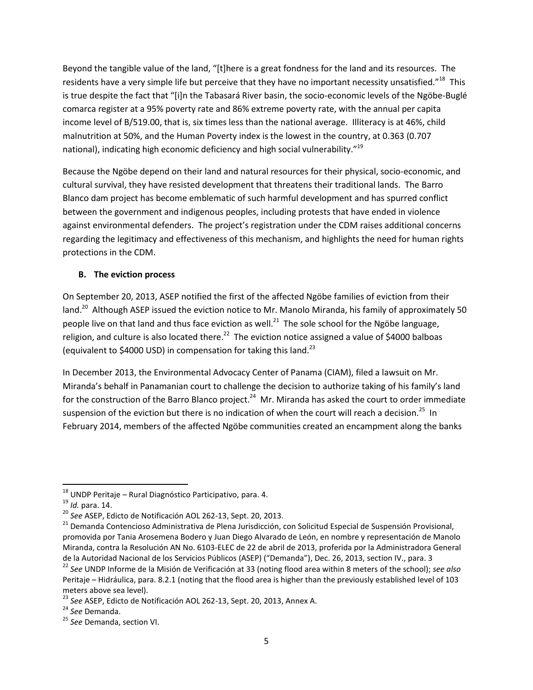Beyond the tangible value of the land, "[t]here is a great fondness for the land and its resources. The residents have a very simple life but perceive that they have no important necessity unsatisfied."<sup>18</sup> This is true despite the fact that "[i]n the Tabasará River basin, the socio-economic levels of the Ngöbe-Buglé comarca register at a 95% poverty rate and 86% extreme poverty rate, with the annual per capita income level of B/519.00, that is, six times less than the national average. Illiteracy is at 46%, child malnutrition at 50%, and the Human Poverty index is the lowest in the country, at 0.363 (0.707 national), indicating high economic deficiency and high social vulnerability."<sup>19</sup>

Because the Ngöbe depend on their land and natural resources for their physical, socio-economic, and cultural survival, they have resisted development that threatens their traditional lands. The Barro Blanco dam project has become emblematic of such harmful development and has spurred conflict between the government and indigenous peoples, including protests that have ended in violence against environmental defenders. The project's registration under the CDM raises additional concerns regarding the legitimacy and effectiveness of this mechanism, and highlights the need for human rights protections in the CDM.

#### **B. The eviction process**

On September 20, 2013, ASEP notified the first of the affected Ngöbe families of eviction from their land.<sup>20</sup> Although ASEP issued the eviction notice to Mr. Manolo Miranda, his family of approximately 50 people live on that land and thus face eviction as well.<sup>21</sup> The sole school for the Ngöbe language, religion, and culture is also located there. $^{22}$  The eviction notice assigned a value of \$4000 balboas (equivalent to \$4000 USD) in compensation for taking this land.<sup>23</sup>

In December 2013, the Environmental Advocacy Center of Panama (CIAM), filed a lawsuit on Mr. Miranda's behalf in Panamanian court to challenge the decision to authorize taking of his family's land for the construction of the Barro Blanco project.<sup>24</sup> Mr. Miranda has asked the court to order immediate suspension of the eviction but there is no indication of when the court will reach a decision.<sup>25</sup> In February 2014, members of the affected Ngöbe communities created an encampment along the banks

 $\overline{a}$ 

<sup>&</sup>lt;sup>18</sup> UNDP Peritaje – Rural Diagnóstico Participativo, para. 4.

<sup>19</sup> *Id.* para. 14.

<sup>20</sup> *See* ASEP, Edicto de Notificación AOL 262-13, Sept. 20, 2013.

<sup>&</sup>lt;sup>21</sup> Demanda Contencioso Administrativa de Plena Jurisdicción, con Solicitud Especial de Suspensión Provisional, promovida por Tania Arosemena Bodero y Juan Diego Alvarado de León, en nombre y representación de Manolo Miranda, contra la Resolución AN No. 6103-ELEC de 22 de abril de 2013, proferida por la Administradora General de la Autoridad Nacional de los Servicios Públicos (ASEP) ("Demanda"), Dec. 26, 2013, section IV., para. 3

<sup>22</sup> *See* UNDP Informe de la Misión de Verificación at 33 (noting flood area within 8 meters of the school); *see also*  Peritaje – Hidráulica, para. 8.2.1 (noting that the flood area is higher than the previously established level of 103 meters above sea level).

<sup>23</sup> *See* ASEP, Edicto de Notificación AOL 262-13, Sept. 20, 2013, Annex A.

<sup>24</sup> *See* Demanda.

<sup>25</sup> *See* Demanda, section VI.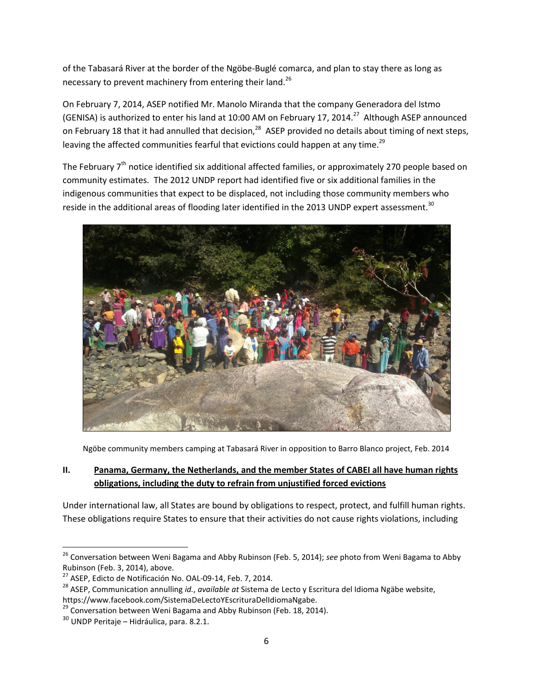of the Tabasará River at the border of the Ngöbe-Buglé comarca, and plan to stay there as long as necessary to prevent machinery from entering their land.<sup>26</sup>

On February 7, 2014, ASEP notified Mr. Manolo Miranda that the company Generadora del Istmo (GENISA) is authorized to enter his land at 10:00 AM on February 17, 2014.<sup>27</sup> Although ASEP announced on February 18 that it had annulled that decision,<sup>28</sup> ASEP provided no details about timing of next steps, leaving the affected communities fearful that evictions could happen at any time.<sup>29</sup>

The February 7<sup>th</sup> notice identified six additional affected families, or approximately 270 people based on community estimates. The 2012 UNDP report had identified five or six additional families in the indigenous communities that expect to be displaced, not including those community members who reside in the additional areas of flooding later identified in the 2013 UNDP expert assessment.<sup>30</sup>



Ngöbe community members camping at Tabasará River in opposition to Barro Blanco project, Feb. 2014

## **II. Panama, Germany, the Netherlands, and the member States of CABEI all have human rights obligations, including the duty to refrain from unjustified forced evictions**

Under international law, all States are bound by obligations to respect, protect, and fulfill human rights. These obligations require States to ensure that their activities do not cause rights violations, including

<sup>26</sup> Conversation between Weni Bagama and Abby Rubinson (Feb. 5, 2014); *see* photo from Weni Bagama to Abby Rubinson (Feb. 3, 2014), above.

<sup>&</sup>lt;sup>27</sup> ASEP, Edicto de Notificación No. OAL-09-14, Feb. 7, 2014.

<sup>28</sup> ASEP, Communication annulling *id.*, *available at* Sistema de Lecto y Escritura del Idioma Ngäbe website, https://www.facebook.com/SistemaDeLectoYEscrituraDelIdiomaNgabe.

<sup>&</sup>lt;sup>29</sup> Conversation between Weni Bagama and Abby Rubinson (Feb. 18, 2014).

<sup>30</sup> UNDP Peritaje – Hidráulica, para. 8.2.1.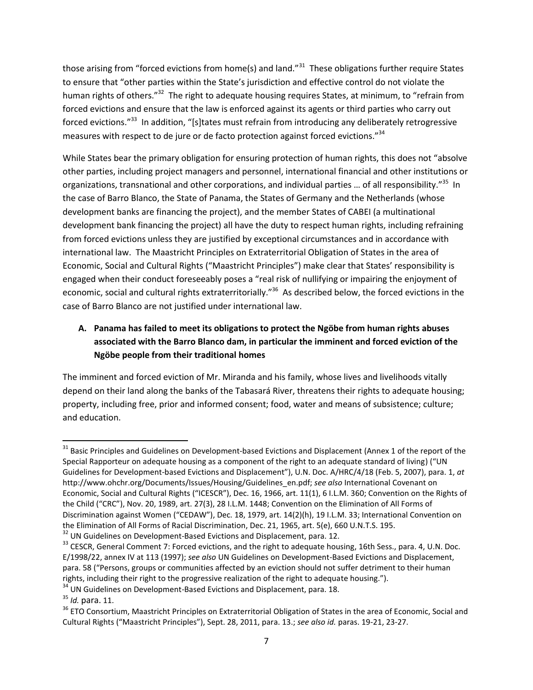those arising from "forced evictions from home(s) and land."<sup>31</sup> These obligations further require States to ensure that "other parties within the State's jurisdiction and effective control do not violate the human rights of others."<sup>32</sup> The right to adequate housing requires States, at minimum, to "refrain from forced evictions and ensure that the law is enforced against its agents or third parties who carry out forced evictions."<sup>33</sup> In addition, "[s]tates must refrain from introducing any deliberately retrogressive measures with respect to de jure or de facto protection against forced evictions." $^{34}$ 

While States bear the primary obligation for ensuring protection of human rights, this does not "absolve other parties, including project managers and personnel, international financial and other institutions or organizations, transnational and other corporations, and individual parties ... of all responsibility."<sup>35</sup> In the case of Barro Blanco, the State of Panama, the States of Germany and the Netherlands (whose development banks are financing the project), and the member States of CABEI (a multinational development bank financing the project) all have the duty to respect human rights, including refraining from forced evictions unless they are justified by exceptional circumstances and in accordance with international law. The Maastricht Principles on Extraterritorial Obligation of States in the area of Economic, Social and Cultural Rights ("Maastricht Principles") make clear that States' responsibility is engaged when their conduct foreseeably poses a "real risk of nullifying or impairing the enjoyment of economic, social and cultural rights extraterritorially."<sup>36</sup> As described below, the forced evictions in the case of Barro Blanco are not justified under international law.

# **A. Panama has failed to meet its obligations to protect the Ngöbe from human rights abuses associated with the Barro Blanco dam, in particular the imminent and forced eviction of the Ngöbe people from their traditional homes**

The imminent and forced eviction of Mr. Miranda and his family, whose lives and livelihoods vitally depend on their land along the banks of the Tabasará River, threatens their rights to adequate housing; property, including free, prior and informed consent; food, water and means of subsistence; culture; and education.

 $\overline{\phantom{a}}$ <sup>31</sup> Basic Principles and Guidelines on Development-based Evictions and Displacement (Annex 1 of the report of the Special Rapporteur on adequate housing as a component of the right to an adequate standard of living) ("UN Guidelines for Development-based Evictions and Displacement"), U.N. Doc. A/HRC/4/18 (Feb. 5, 2007), para. 1, *at*  http://www.ohchr.org/Documents/Issues/Housing/Guidelines\_en.pdf; *see also* International Covenant on Economic, Social and Cultural Rights ("ICESCR"), Dec. 16, 1966, art. 11(1), 6 I.L.M. 360; Convention on the Rights of the Child ("CRC"), Nov. 20, 1989, art. 27(3), 28 I.L.M. 1448; Convention on the Elimination of All Forms of Discrimination against Women ("CEDAW"), Dec. 18, 1979, art. 14(2)(h), 19 I.L.M. 33; International Convention on the Elimination of All Forms of Racial Discrimination, Dec. 21, 1965, art. 5(e), 660 U.N.T.S. 195.

<sup>&</sup>lt;sup>32</sup> UN Guidelines on Development-Based Evictions and Displacement, para. 12.

<sup>&</sup>lt;sup>33</sup> CESCR, General Comment 7: Forced evictions, and the right to adequate housing, 16th Sess., para. 4, U.N. Doc. E/1998/22, annex IV at 113 (1997); *see also* UN Guidelines on Development-Based Evictions and Displacement, para. 58 ("Persons, groups or communities affected by an eviction should not suffer detriment to their human rights, including their right to the progressive realization of the right to adequate housing.").

<sup>&</sup>lt;sup>34</sup> UN Guidelines on Development-Based Evictions and Displacement, para. 18.

<sup>35</sup> *Id.* para. 11.

<sup>&</sup>lt;sup>36</sup> ETO Consortium, Maastricht Principles on Extraterritorial Obligation of States in the area of Economic, Social and Cultural Rights ("Maastricht Principles"), Sept. 28, 2011, para. 13.; *see also id.* paras. 19-21, 23-27.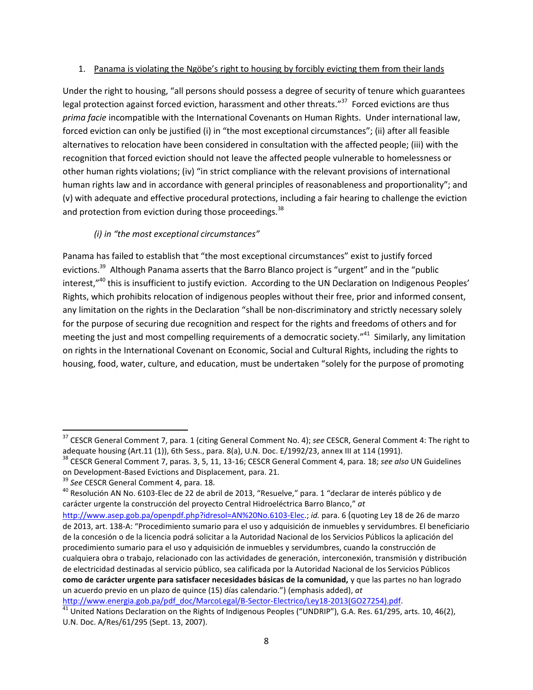#### 1. Panama is violating the Ngöbe's right to housing by forcibly evicting them from their lands

Under the right to housing, "all persons should possess a degree of security of tenure which guarantees legal protection against forced eviction, harassment and other threats."<sup>37</sup> Forced evictions are thus *prima facie* incompatible with the International Covenants on Human Rights. Under international law, forced eviction can only be justified (i) in "the most exceptional circumstances"; (ii) after all feasible alternatives to relocation have been considered in consultation with the affected people; (iii) with the recognition that forced eviction should not leave the affected people vulnerable to homelessness or other human rights violations; (iv) "in strict compliance with the relevant provisions of international human rights law and in accordance with general principles of reasonableness and proportionality"; and (v) with adequate and effective procedural protections, including a fair hearing to challenge the eviction and protection from eviction during those proceedings.<sup>38</sup>

## *(i) in "the most exceptional circumstances"*

Panama has failed to establish that "the most exceptional circumstances" exist to justify forced evictions.<sup>39</sup> Although Panama asserts that the Barro Blanco project is "urgent" and in the "public interest,"<sup>40</sup> this is insufficient to justify eviction. According to the UN Declaration on Indigenous Peoples' Rights, which prohibits relocation of indigenous peoples without their free, prior and informed consent, any limitation on the rights in the Declaration "shall be non-discriminatory and strictly necessary solely for the purpose of securing due recognition and respect for the rights and freedoms of others and for meeting the just and most compelling requirements of a democratic society."<sup>41</sup> Similarly, any limitation on rights in the International Covenant on Economic, Social and Cultural Rights, including the rights to housing, food, water, culture, and education, must be undertaken "solely for the purpose of promoting

 $\overline{a}$ 

[http://www.energia.gob.pa/pdf\\_doc/MarcoLegal/B-Sector-Electrico/Ley18-2013\(GO27254\).pdf.](http://www.energia.gob.pa/pdf_doc/MarcoLegal/B-Sector-Electrico/Ley18-2013(GO27254).pdf)

<sup>37</sup> CESCR General Comment 7, para. 1 (citing General Comment No. 4); *see* CESCR, General Comment 4: The right to adequate housing (Art.11 (1)), 6th Sess., para. 8(a), U.N. Doc. E/1992/23, annex III at 114 (1991).

<sup>38</sup> CESCR General Comment 7, paras. 3, 5, 11, 13-16; CESCR General Comment 4, para. 18; *see also* UN Guidelines on Development-Based Evictions and Displacement, para. 21.

<sup>39</sup> *See* CESCR General Comment 4, para. 18.

<sup>&</sup>lt;sup>40</sup> Resolución AN No. 6103-Elec de 22 de abril de 2013, "Resuelve," para. 1 "declarar de interés público y de carácter urgente la construcción del proyecto Central Hidroeléctrica Barro Blanco," *at*

[http://www.asep.gob.pa/openpdf.php?idresol=AN%20No.6103-Elec.](http://www.asep.gob.pa/openpdf.php?idresol=AN%20No.6103-Elec); *id.* para. 6 (quoting Ley 18 de 26 de marzo de 2013, art. 138-A: "Procedimiento sumario para el uso y adquisición de inmuebles y servidumbres. El beneficiario de la concesión o de la licencia podrá solicitar a la Autoridad Nacional de los Servicios Públicos la aplicación del procedimiento sumario para el uso y adquisición de inmuebles y servidumbres, cuando la construcción de cualquiera obra o trabajo, relacionado con las actividades de generación, interconexión, transmisión y distribución de electricidad destinadas al servicio público, sea calificada por la Autoridad Nacional de los Servicios Públicos **como de carácter urgente para satisfacer necesidades básicas de la comunidad,** y que las partes no han logrado un acuerdo previo en un plazo de quince (15) días calendario.") (emphasis added), *at*

 $41$  United Nations Declaration on the Rights of Indigenous Peoples ("UNDRIP"), G.A. Res. 61/295, arts. 10, 46(2), U.N. Doc. A/Res/61/295 (Sept. 13, 2007).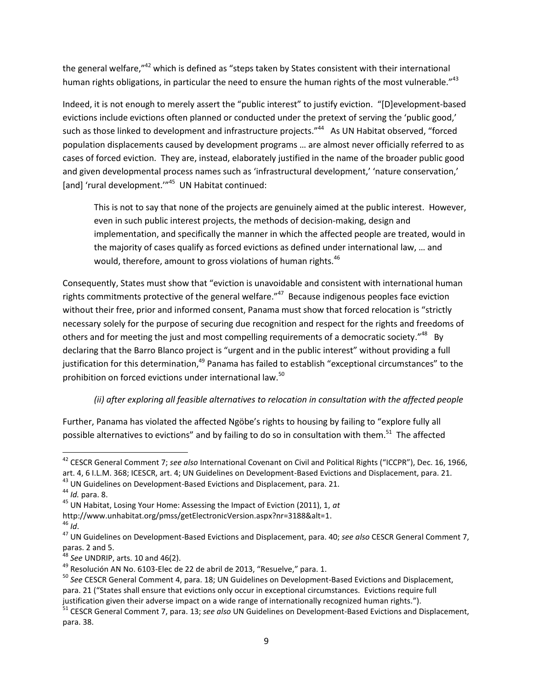the general welfare,"<sup>42</sup> which is defined as "steps taken by States consistent with their international human rights obligations, in particular the need to ensure the human rights of the most vulnerable."<sup>43</sup>

Indeed, it is not enough to merely assert the "public interest" to justify eviction. "[D]evelopment-based evictions include evictions often planned or conducted under the pretext of serving the 'public good,' such as those linked to development and infrastructure projects."<sup>44</sup> As UN Habitat observed, "forced population displacements caused by development programs … are almost never officially referred to as cases of forced eviction. They are, instead, elaborately justified in the name of the broader public good and given developmental process names such as 'infrastructural development,' 'nature conservation,' [and] 'rural development."<sup>45</sup> UN Habitat continued:

This is not to say that none of the projects are genuinely aimed at the public interest. However, even in such public interest projects, the methods of decision-making, design and implementation, and specifically the manner in which the affected people are treated, would in the majority of cases qualify as forced evictions as defined under international law, … and would, therefore, amount to gross violations of human rights. $46$ 

Consequently, States must show that "eviction is unavoidable and consistent with international human rights commitments protective of the general welfare."<sup>47</sup> Because indigenous peoples face eviction without their free, prior and informed consent, Panama must show that forced relocation is "strictly necessary solely for the purpose of securing due recognition and respect for the rights and freedoms of others and for meeting the just and most compelling requirements of a democratic society."<sup>48</sup> By declaring that the Barro Blanco project is "urgent and in the public interest" without providing a full justification for this determination,<sup>49</sup> Panama has failed to establish "exceptional circumstances" to the prohibition on forced evictions under international law.<sup>50</sup>

## *(ii) after exploring all feasible alternatives to relocation in consultation with the affected people*

Further, Panama has violated the affected Ngöbe's rights to housing by failing to "explore fully all possible alternatives to evictions" and by failing to do so in consultation with them.<sup>51</sup> The affected

<sup>42</sup> CESCR General Comment 7; *see also* International Covenant on Civil and Political Rights ("ICCPR"), Dec. 16, 1966, art. 4, 6 I.L.M. 368; ICESCR, art. 4; UN Guidelines on Development-Based Evictions and Displacement, para. 21.

<sup>43</sup> UN Guidelines on Development-Based Evictions and Displacement, para. 21.

<sup>44</sup> *Id.* para. 8.

<sup>45</sup> UN Habitat, Losing Your Home: Assessing the Impact of Eviction (2011), 1, *at* 

http://www.unhabitat.org/pmss/getElectronicVersion.aspx?nr=3188&alt=1.

<sup>46</sup> *Id*.

<sup>47</sup> UN Guidelines on Development-Based Evictions and Displacement, para. 40; *see also* CESCR General Comment 7, paras. 2 and 5.

<sup>48</sup> *See* UNDRIP, arts. 10 and 46(2).

<sup>49</sup> Resolución AN No. 6103-Elec de 22 de abril de 2013, "Resuelve," para. 1.

<sup>50</sup> *See* CESCR General Comment 4, para. 18; UN Guidelines on Development-Based Evictions and Displacement, para. 21 ("States shall ensure that evictions only occur in exceptional circumstances. Evictions require full

justification given their adverse impact on a wide range of internationally recognized human rights.").

<sup>51</sup> CESCR General Comment 7, para. 13; *see also* UN Guidelines on Development-Based Evictions and Displacement, para. 38.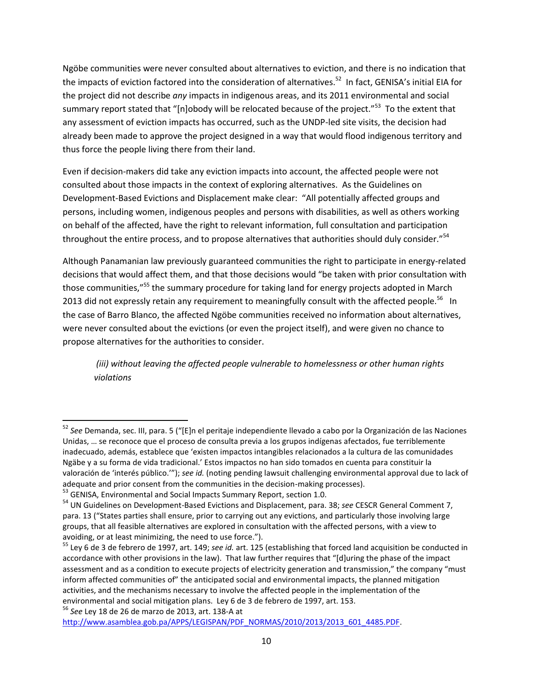Ngöbe communities were never consulted about alternatives to eviction, and there is no indication that the impacts of eviction factored into the consideration of alternatives.<sup>52</sup> In fact, GENISA's initial EIA for the project did not describe *any* impacts in indigenous areas, and its 2011 environmental and social summary report stated that "[n]obody will be relocated because of the project."<sup>53</sup> To the extent that any assessment of eviction impacts has occurred, such as the UNDP-led site visits, the decision had already been made to approve the project designed in a way that would flood indigenous territory and thus force the people living there from their land.

Even if decision-makers did take any eviction impacts into account, the affected people were not consulted about those impacts in the context of exploring alternatives. As the Guidelines on Development-Based Evictions and Displacement make clear: "All potentially affected groups and persons, including women, indigenous peoples and persons with disabilities, as well as others working on behalf of the affected, have the right to relevant information, full consultation and participation throughout the entire process, and to propose alternatives that authorities should duly consider."<sup>54</sup>

Although Panamanian law previously guaranteed communities the right to participate in energy-related decisions that would affect them, and that those decisions would "be taken with prior consultation with those communities,"<sup>55</sup> the summary procedure for taking land for energy projects adopted in March 2013 did not expressly retain any requirement to meaningfully consult with the affected people.<sup>56</sup> In the case of Barro Blanco, the affected Ngöbe communities received no information about alternatives, were never consulted about the evictions (or even the project itself), and were given no chance to propose alternatives for the authorities to consider.

*(iii) without leaving the affected people vulnerable to homelessness or other human rights violations*

<sup>56</sup> *See* Ley 18 de 26 de marzo de 2013, art. 138-A at

<sup>&</sup>lt;sup>52</sup> See Demanda, sec. III, para. 5 ("[E]n el peritaje independiente llevado a cabo por la Organización de las Naciones Unidas, … se reconoce que el proceso de consulta previa a los grupos indígenas afectados, fue terriblemente inadecuado, además, establece que 'existen impactos intangibles relacionados a la cultura de las comunidades Ngäbe y a su forma de vida tradicional.' Estos impactos no han sido tomados en cuenta para constituir la valoración de 'interés público.'"); *see id.* (noting pending lawsuit challenging environmental approval due to lack of adequate and prior consent from the communities in the decision-making processes).

<sup>&</sup>lt;sup>53</sup> GENISA, Environmental and Social Impacts Summary Report, section 1.0.

<sup>54</sup> UN Guidelines on Development-Based Evictions and Displacement, para. 38; *see* CESCR General Comment 7, para. 13 ("States parties shall ensure, prior to carrying out any evictions, and particularly those involving large groups, that all feasible alternatives are explored in consultation with the affected persons, with a view to avoiding, or at least minimizing, the need to use force.").

<sup>55</sup> Ley 6 de 3 de febrero de 1997, art. 149; *see id.* art. 125 (establishing that forced land acquisition be conducted in accordance with other provisions in the law). That law further requires that "[d]uring the phase of the impact assessment and as a condition to execute projects of electricity generation and transmission," the company "must inform affected communities of" the anticipated social and environmental impacts, the planned mitigation activities, and the mechanisms necessary to involve the affected people in the implementation of the environmental and social mitigation plans. Ley 6 de 3 de febrero de 1997, art. 153.

[http://www.asamblea.gob.pa/APPS/LEGISPAN/PDF\\_NORMAS/2010/2013/2013\\_601\\_4485.PDF.](http://www.asamblea.gob.pa/APPS/LEGISPAN/PDF_NORMAS/2010/2013/2013_601_4485.PDF)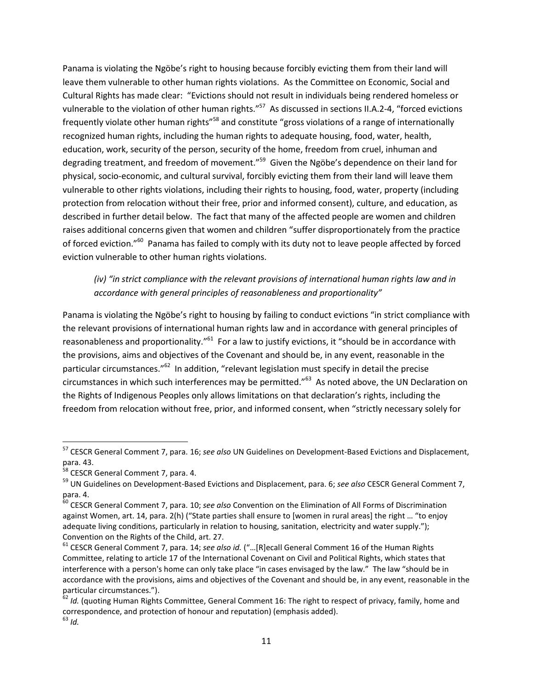Panama is violating the Ngöbe's right to housing because forcibly evicting them from their land will leave them vulnerable to other human rights violations. As the Committee on Economic, Social and Cultural Rights has made clear: "Evictions should not result in individuals being rendered homeless or vulnerable to the violation of other human rights."<sup>57</sup> As discussed in sections II.A.2-4, "forced evictions frequently violate other human rights"<sup>58</sup> and constitute "gross violations of a range of internationally recognized human rights, including the human rights to adequate housing, food, water, health, education, work, security of the person, security of the home, freedom from cruel, inhuman and degrading treatment, and freedom of movement."<sup>59</sup> Given the Ngöbe's dependence on their land for physical, socio-economic, and cultural survival, forcibly evicting them from their land will leave them vulnerable to other rights violations, including their rights to housing, food, water, property (including protection from relocation without their free, prior and informed consent), culture, and education, as described in further detail below. The fact that many of the affected people are women and children raises additional concerns given that women and children "suffer disproportionately from the practice of forced eviction."<sup>60</sup> Panama has failed to comply with its duty not to leave people affected by forced eviction vulnerable to other human rights violations.

## *(iv) "in strict compliance with the relevant provisions of international human rights law and in accordance with general principles of reasonableness and proportionality"*

Panama is violating the Ngöbe's right to housing by failing to conduct evictions "in strict compliance with the relevant provisions of international human rights law and in accordance with general principles of reasonableness and proportionality."<sup>61</sup> For a law to justify evictions, it "should be in accordance with the provisions, aims and objectives of the Covenant and should be, in any event, reasonable in the particular circumstances."<sup>62</sup> In addition, "relevant legislation must specify in detail the precise circumstances in which such interferences may be permitted."<sup>63</sup> As noted above, the UN Declaration on the Rights of Indigenous Peoples only allows limitations on that declaration's rights, including the freedom from relocation without free, prior, and informed consent, when "strictly necessary solely for

<sup>57</sup> CESCR General Comment 7, para. 16; *see also* UN Guidelines on Development-Based Evictions and Displacement, para. 43.

<sup>&</sup>lt;sup>58</sup> CESCR General Comment 7, para. 4.

<sup>59</sup> UN Guidelines on Development-Based Evictions and Displacement, para. 6; *see also* CESCR General Comment 7, para. 4.

<sup>60</sup> CESCR General Comment 7, para. 10; *see also* Convention on the Elimination of All Forms of Discrimination against Women, art. 14, para. 2(h) ("State parties shall ensure to [women in rural areas] the right ... "to enjoy adequate living conditions, particularly in relation to housing, sanitation, electricity and water supply."); Convention on the Rights of the Child, art. 27.

<sup>&</sup>lt;sup>61</sup> CESCR General Comment 7, para. 14; see also id. ("...[R]ecall General Comment 16 of the Human Rights Committee, relating to article 17 of the International Covenant on Civil and Political Rights, which states that interference with a person's home can only take place "in cases envisaged by the law." The law "should be in accordance with the provisions, aims and objectives of the Covenant and should be, in any event, reasonable in the particular circumstances.").

<sup>62</sup> *Id.* (quoting Human Rights Committee, General Comment 16: The right to respect of privacy, family, home and correspondence, and protection of honour and reputation) (emphasis added).  $^{63}$  *Id.*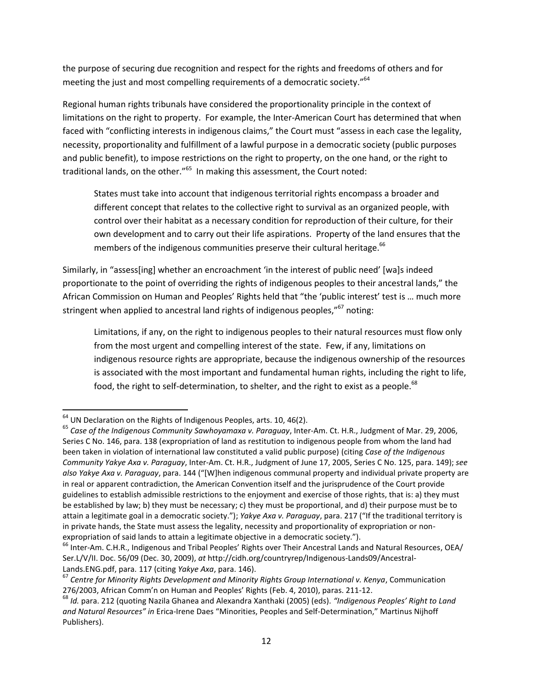the purpose of securing due recognition and respect for the rights and freedoms of others and for meeting the just and most compelling requirements of a democratic society."<sup>64</sup>

Regional human rights tribunals have considered the proportionality principle in the context of limitations on the right to property. For example, the Inter-American Court has determined that when faced with "conflicting interests in indigenous claims," the Court must "assess in each case the legality, necessity, proportionality and fulfillment of a lawful purpose in a democratic society (public purposes and public benefit), to impose restrictions on the right to property, on the one hand, or the right to traditional lands, on the other."<sup>65</sup> In making this assessment, the Court noted:

States must take into account that indigenous territorial rights encompass a broader and different concept that relates to the collective right to survival as an organized people, with control over their habitat as a necessary condition for reproduction of their culture, for their own development and to carry out their life aspirations. Property of the land ensures that the members of the indigenous communities preserve their cultural heritage.<sup>66</sup>

Similarly, in "assess[ing] whether an encroachment 'in the interest of public need' [wa]s indeed proportionate to the point of overriding the rights of indigenous peoples to their ancestral lands," the African Commission on Human and Peoples' Rights held that "the 'public interest' test is … much more stringent when applied to ancestral land rights of indigenous peoples,"<sup>67</sup> noting:

Limitations, if any, on the right to indigenous peoples to their natural resources must flow only from the most urgent and compelling interest of the state. Few, if any, limitations on indigenous resource rights are appropriate, because the indigenous ownership of the resources is associated with the most important and fundamental human rights, including the right to life, food, the right to self-determination, to shelter, and the right to exist as a people.<sup>68</sup>

 $64$  UN Declaration on the Rights of Indigenous Peoples, arts. 10, 46(2).

<sup>65</sup> *Case of the Indigenous Community Sawhoyamaxa v. Paraguay*, Inter-Am. Ct. H.R., Judgment of Mar. 29, 2006, Series C No. 146, para. 138 (expropriation of land as restitution to indigenous people from whom the land had been taken in violation of international law constituted a valid public purpose) (citing *Case of the Indigenous Community Yakye Axa v. Paraguay*, Inter-Am. Ct. H.R., Judgment of June 17, 2005, Series C No. 125, para. 149); *see also Yakye Axa v. Paraguay, para.* 144 ("[W]hen indigenous communal property and individual private property are in real or apparent contradiction, the American Convention itself and the jurisprudence of the Court provide guidelines to establish admissible restrictions to the enjoyment and exercise of those rights, that is: a) they must be established by law; b) they must be necessary; c) they must be proportional, and d) their purpose must be to attain a legitimate goal in a democratic society."); *Yakye Axa v. Paraguay*, para. 217 ("If the traditional territory is in private hands, the State must assess the legality, necessity and proportionality of expropriation or nonexpropriation of said lands to attain a legitimate objective in a democratic society.").

<sup>&</sup>lt;sup>66</sup> Inter-Am. C.H.R., Indigenous and Tribal Peoples' Rights over Their Ancestral Lands and Natural Resources, OEA/ Ser.L/V/II. Doc. 56/09 (Dec. 30, 2009), *at* http://cidh.org/countryrep/Indigenous-Lands09/Ancestral-Lands.ENG.pdf, para. 117 (citing *Yakye Axa*, para. 146).

<sup>67</sup> *Centre for Minority Rights Development and Minority Rights Group International v. Kenya*, Communication 276/2003, African Comm'n on Human and Peoples' Rights (Feb. 4, 2010), paras. 211-12.

<sup>68</sup> *Id.* para. 212 (quoting Nazila Ghanea and Alexandra Xanthaki (2005) (eds). *"Indigenous Peoples' Right to Land and Natural Resources" in* Erica-Irene Daes "Minorities, Peoples and Self-Determination," Martinus Nijhoff Publishers).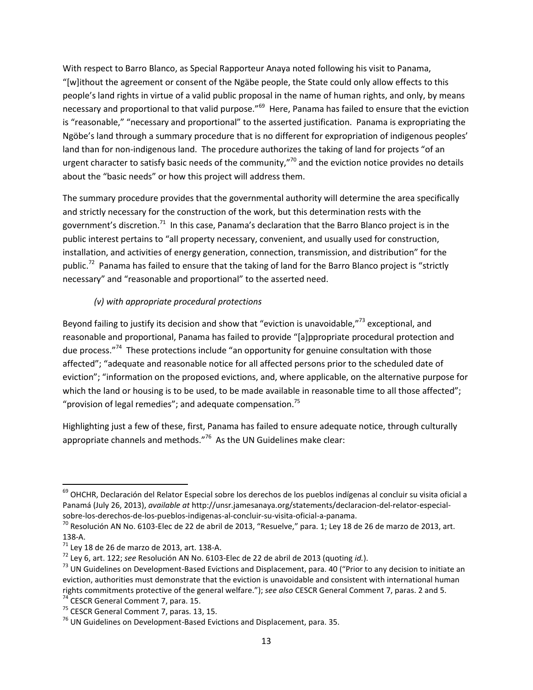With respect to Barro Blanco, as Special Rapporteur Anaya noted following his visit to Panama, "[w]ithout the agreement or consent of the Ngäbe people, the State could only allow effects to this people's land rights in virtue of a valid public proposal in the name of human rights, and only, by means necessary and proportional to that valid purpose."<sup>69</sup> Here, Panama has failed to ensure that the eviction is "reasonable," "necessary and proportional" to the asserted justification. Panama is expropriating the Ngöbe's land through a summary procedure that is no different for expropriation of indigenous peoples' land than for non-indigenous land. The procedure authorizes the taking of land for projects "of an urgent character to satisfy basic needs of the community," $70$  and the eviction notice provides no details about the "basic needs" or how this project will address them.

The summary procedure provides that the governmental authority will determine the area specifically and strictly necessary for the construction of the work, but this determination rests with the government's discretion.<sup>71</sup> In this case, Panama's declaration that the Barro Blanco project is in the public interest pertains to "all property necessary, convenient, and usually used for construction, installation, and activities of energy generation, connection, transmission, and distribution" for the public.<sup>72</sup> Panama has failed to ensure that the taking of land for the Barro Blanco project is "strictly necessary" and "reasonable and proportional" to the asserted need.

#### *(v) with appropriate procedural protections*

Beyond failing to justify its decision and show that "eviction is unavoidable,"<sup>73</sup> exceptional, and reasonable and proportional, Panama has failed to provide "[a]ppropriate procedural protection and due process."<sup>74</sup> These protections include "an opportunity for genuine consultation with those affected"; "adequate and reasonable notice for all affected persons prior to the scheduled date of eviction"; "information on the proposed evictions, and, where applicable, on the alternative purpose for which the land or housing is to be used, to be made available in reasonable time to all those affected"; "provision of legal remedies"; and adequate compensation.<sup>75</sup>

Highlighting just a few of these, first, Panama has failed to ensure adequate notice, through culturally appropriate channels and methods."<sup>76</sup> As the UN Guidelines make clear:

 $\overline{a}$ 

<sup>&</sup>lt;sup>69</sup> OHCHR, Declaración del Relator Especial sobre los derechos de los pueblos indígenas al concluir su visita oficial a Panamá (July 26, 2013), *available at* http://unsr.jamesanaya.org/statements/declaracion-del-relator-especialsobre-los-derechos-de-los-pueblos-indigenas-al-concluir-su-visita-oficial-a-panama.

<sup>&</sup>lt;sup>70</sup> Resolución AN No. 6103-Elec de 22 de abril de 2013, "Resuelve," para. 1; Ley 18 de 26 de marzo de 2013, art. 138-A.

 $71$  Ley 18 de 26 de marzo de 2013, art. 138-A.

<sup>72</sup> Ley 6, art. 122; *see* Resolución AN No. 6103-Elec de 22 de abril de 2013 (quoting *id.*).

<sup>&</sup>lt;sup>73</sup> UN Guidelines on Development-Based Evictions and Displacement, para. 40 ("Prior to any decision to initiate an eviction, authorities must demonstrate that the eviction is unavoidable and consistent with international human rights commitments protective of the general welfare."); *see also* CESCR General Comment 7, paras. 2 and 5. <sup>74</sup> CESCR General Comment 7, para. 15.

 $<sup>75</sup>$  CESCR General Comment 7, paras. 13, 15.</sup>

 $76$  UN Guidelines on Development-Based Evictions and Displacement, para. 35.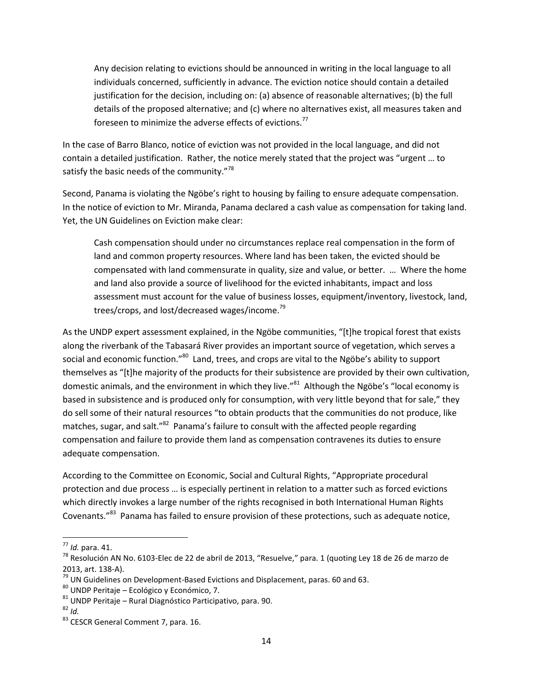Any decision relating to evictions should be announced in writing in the local language to all individuals concerned, sufficiently in advance. The eviction notice should contain a detailed justification for the decision, including on: (a) absence of reasonable alternatives; (b) the full details of the proposed alternative; and (c) where no alternatives exist, all measures taken and foreseen to minimize the adverse effects of evictions.<sup>77</sup>

In the case of Barro Blanco, notice of eviction was not provided in the local language, and did not contain a detailed justification. Rather, the notice merely stated that the project was "urgent … to satisfy the basic needs of the community."<sup>78</sup>

Second, Panama is violating the Ngöbe's right to housing by failing to ensure adequate compensation. In the notice of eviction to Mr. Miranda, Panama declared a cash value as compensation for taking land. Yet, the UN Guidelines on Eviction make clear:

Cash compensation should under no circumstances replace real compensation in the form of land and common property resources. Where land has been taken, the evicted should be compensated with land commensurate in quality, size and value, or better. … Where the home and land also provide a source of livelihood for the evicted inhabitants, impact and loss assessment must account for the value of business losses, equipment/inventory, livestock, land, trees/crops, and lost/decreased wages/income.<sup>79</sup>

As the UNDP expert assessment explained, in the Ngöbe communities, "[t]he tropical forest that exists along the riverbank of the Tabasará River provides an important source of vegetation, which serves a social and economic function."<sup>80</sup> Land, trees, and crops are vital to the Ngöbe's ability to support themselves as "[t]he majority of the products for their subsistence are provided by their own cultivation, domestic animals, and the environment in which they live."<sup>81</sup> Although the Ngöbe's "local economy is based in subsistence and is produced only for consumption, with very little beyond that for sale," they do sell some of their natural resources "to obtain products that the communities do not produce, like matches, sugar, and salt."<sup>82</sup> Panama's failure to consult with the affected people regarding compensation and failure to provide them land as compensation contravenes its duties to ensure adequate compensation.

According to the Committee on Economic, Social and Cultural Rights, "Appropriate procedural protection and due process … is especially pertinent in relation to a matter such as forced evictions which directly invokes a large number of the rights recognised in both International Human Rights Covenants."<sup>83</sup> Panama has failed to ensure provision of these protections, such as adequate notice,

<sup>77</sup> *Id.* para. 41.

<sup>&</sup>lt;sup>78</sup> Resolución AN No. 6103-Elec de 22 de abril de 2013, "Resuelve," para. 1 (quoting Ley 18 de 26 de marzo de 2013, art. 138-A).

 $^{79}$  UN Guidelines on Development-Based Evictions and Displacement, paras. 60 and 63.

<sup>80</sup> UNDP Peritaje – Ecológico y Económico, 7.

 $81$  UNDP Peritaje – Rural Diagnóstico Participativo, para. 90.

<sup>82</sup> *Id.*

<sup>83</sup> CESCR General Comment 7, para. 16.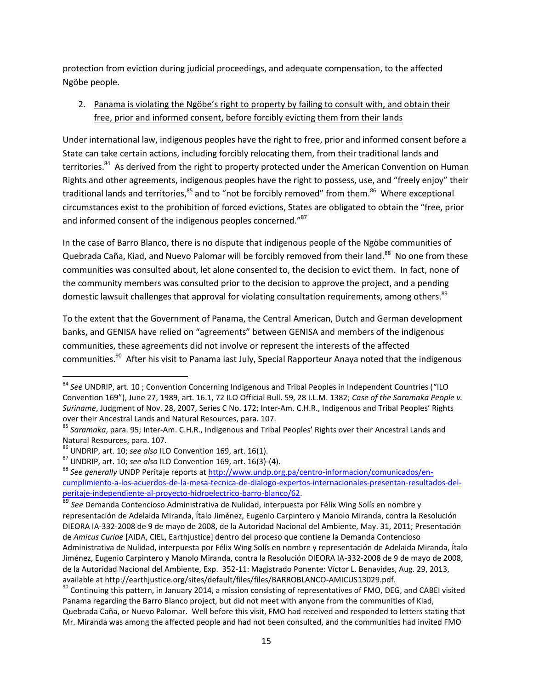protection from eviction during judicial proceedings, and adequate compensation, to the affected Ngöbe people.

#### 2. Panama is violating the Ngöbe's right to property by failing to consult with, and obtain their free, prior and informed consent, before forcibly evicting them from their lands

Under international law, indigenous peoples have the right to free, prior and informed consent before a State can take certain actions, including forcibly relocating them, from their traditional lands and territories.<sup>84</sup> As derived from the right to property protected under the American Convention on Human Rights and other agreements, indigenous peoples have the right to possess, use, and "freely enjoy" their traditional lands and territories,<sup>85</sup> and to "not be forcibly removed" from them.<sup>86</sup> Where exceptional circumstances exist to the prohibition of forced evictions, States are obligated to obtain the "free, prior and informed consent of the indigenous peoples concerned."<sup>87</sup>

In the case of Barro Blanco, there is no dispute that indigenous people of the Ngöbe communities of Quebrada Caña, Kiad, and Nuevo Palomar will be forcibly removed from their land.<sup>88</sup> No one from these communities was consulted about, let alone consented to, the decision to evict them. In fact, none of the community members was consulted prior to the decision to approve the project, and a pending domestic lawsuit challenges that approval for violating consultation requirements, among others.<sup>89</sup>

To the extent that the Government of Panama, the Central American, Dutch and German development banks, and GENISA have relied on "agreements" between GENISA and members of the indigenous communities, these agreements did not involve or represent the interests of the affected communities.<sup>90</sup> After his visit to Panama last July, Special Rapporteur Anaya noted that the indigenous

 $\overline{a}$ 

 $90$  Continuing this pattern, in January 2014, a mission consisting of representatives of FMO, DEG, and CABEI visited Panama regarding the Barro Blanco project, but did not meet with anyone from the communities of Kiad, Quebrada Caña, or Nuevo Palomar. Well before this visit, FMO had received and responded to letters stating that Mr. Miranda was among the affected people and had not been consulted, and the communities had invited FMO

<sup>84</sup> *See* UNDRIP, art. 10 ; Convention Concerning Indigenous and Tribal Peoples in Independent Countries ("ILO Convention 169"), June 27, 1989, art. 16.1, 72 ILO Official Bull. 59, 28 I.L.M. 1382; *Case of the Saramaka People v. Suriname*, Judgment of Nov. 28, 2007, Series C No. 172; Inter-Am. C.H.R., Indigenous and Tribal Peoples' Rights over their Ancestral Lands and Natural Resources, para. 107.

<sup>85</sup> *Saramaka*, para. 95; Inter-Am. C.H.R., Indigenous and Tribal Peoples' Rights over their Ancestral Lands and Natural Resources, para. 107.

<sup>86</sup> UNDRIP, art. 10; *see also* ILO Convention 169, art. 16(1).

<sup>87</sup> UNDRIP, art. 10; *see also* ILO Convention 169, art. 16(3)-(4).

<sup>88</sup> *See generally* UNDP Peritaje reports a[t http://www.undp.org.pa/centro-informacion/comunicados/en](http://www.undp.org.pa/centro-informacion/comunicados/en-cumplimiento-a-los-acuerdos-de-la-mesa-tecnica-de-dialogo-expertos-internacionales-presentan-resultados-del-peritaje-independiente-al-proyecto-hidroelectrico-barro-blanco/62)[cumplimiento-a-los-acuerdos-de-la-mesa-tecnica-de-dialogo-expertos-internacionales-presentan-resultados-del](http://www.undp.org.pa/centro-informacion/comunicados/en-cumplimiento-a-los-acuerdos-de-la-mesa-tecnica-de-dialogo-expertos-internacionales-presentan-resultados-del-peritaje-independiente-al-proyecto-hidroelectrico-barro-blanco/62)[peritaje-independiente-al-proyecto-hidroelectrico-barro-blanco/62.](http://www.undp.org.pa/centro-informacion/comunicados/en-cumplimiento-a-los-acuerdos-de-la-mesa-tecnica-de-dialogo-expertos-internacionales-presentan-resultados-del-peritaje-independiente-al-proyecto-hidroelectrico-barro-blanco/62)

<sup>89</sup> *See* Demanda Contencioso Administrativa de Nulidad, interpuesta por Félix Wing Solís en nombre y representación de Adelaida Miranda, Ítalo Jiménez, Eugenio Carpintero y Manolo Miranda, contra la Resolución DIEORA IA-332-2008 de 9 de mayo de 2008, de la Autoridad Nacional del Ambiente, May. 31, 2011; Presentación de *Amicus Curiae* [AIDA, CIEL, Earthjustice] dentro del proceso que contiene la Demanda Contencioso Administrativa de Nulidad, interpuesta por Félix Wing Solís en nombre y representación de Adelaida Miranda, Ítalo Jiménez, Eugenio Carpintero y Manolo Miranda, contra la Resolución DIEORA IA-332-2008 de 9 de mayo de 2008, de la Autoridad Nacional del Ambiente, Exp. 352-11: Magistrado Ponente: Víctor L. Benavides, Aug. 29, 2013, available at http://earthjustice.org/sites/default/files/files/BARROBLANCO-AMICUS13029.pdf.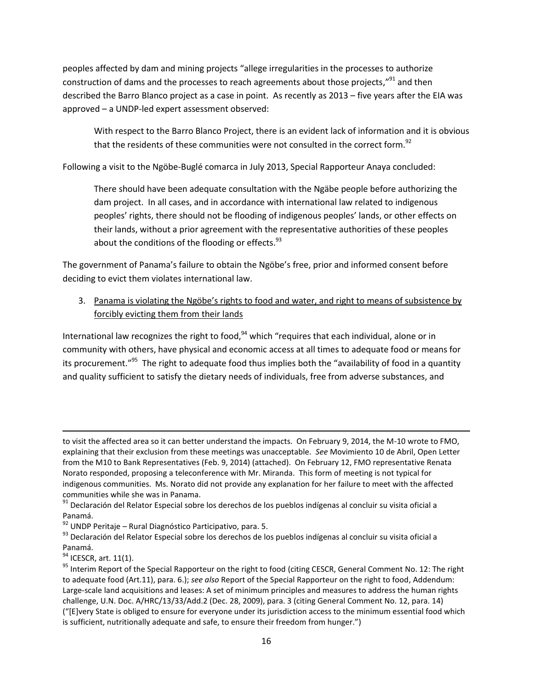peoples affected by dam and mining projects "allege irregularities in the processes to authorize construction of dams and the processes to reach agreements about those projects,"<sup>91</sup> and then described the Barro Blanco project as a case in point. As recently as 2013 – five years after the EIA was approved – a UNDP-led expert assessment observed:

With respect to the Barro Blanco Project, there is an evident lack of information and it is obvious that the residents of these communities were not consulted in the correct form.<sup>92</sup>

Following a visit to the Ngöbe-Buglé comarca in July 2013, Special Rapporteur Anaya concluded:

There should have been adequate consultation with the Ngäbe people before authorizing the dam project. In all cases, and in accordance with international law related to indigenous peoples' rights, there should not be flooding of indigenous peoples' lands, or other effects on their lands, without a prior agreement with the representative authorities of these peoples about the conditions of the flooding or effects. $93$ 

The government of Panama's failure to obtain the Ngöbe's free, prior and informed consent before deciding to evict them violates international law.

3. Panama is violating the Ngöbe's rights to food and water, and right to means of subsistence by forcibly evicting them from their lands

International law recognizes the right to food,  $94$  which "requires that each individual, alone or in community with others, have physical and economic access at all times to adequate food or means for its procurement."<sup>95</sup> The right to adequate food thus implies both the "availability of food in a quantity and quality sufficient to satisfy the dietary needs of individuals, free from adverse substances, and

to visit the affected area so it can better understand the impacts. On February 9, 2014, the M-10 wrote to FMO, explaining that their exclusion from these meetings was unacceptable. *See* Movimiento 10 de Abril, Open Letter from the M10 to Bank Representatives (Feb. 9, 2014) (attached). On February 12, FMO representative Renata Norato responded, proposing a teleconference with Mr. Miranda. This form of meeting is not typical for indigenous communities. Ms. Norato did not provide any explanation for her failure to meet with the affected communities while she was in Panama.

<sup>&</sup>lt;sup>91</sup> Declaración del Relator Especial sobre los derechos de los pueblos indígenas al concluir su visita oficial a Panamá.

 $92$  UNDP Peritaje – Rural Diagnóstico Participativo, para. 5.

<sup>93</sup> Declaración del Relator Especial sobre los derechos de los pueblos indígenas al concluir su visita oficial a Panamá.

 $94$  ICESCR, art. 11(1).

<sup>95</sup> Interim Report of the Special Rapporteur on the right to food (citing CESCR, General Comment No. 12: The right to adequate food (Art.11), para. 6.); *see also* Report of the Special Rapporteur on the right to food, Addendum: Large-scale land acquisitions and leases: A set of minimum principles and measures to address the human rights challenge, U.N. Doc. A/HRC/13/33/Add.2 (Dec. 28, 2009), para. 3 (citing General Comment No. 12, para. 14) ("[E]very State is obliged to ensure for everyone under its jurisdiction access to the minimum essential food which is sufficient, nutritionally adequate and safe, to ensure their freedom from hunger.")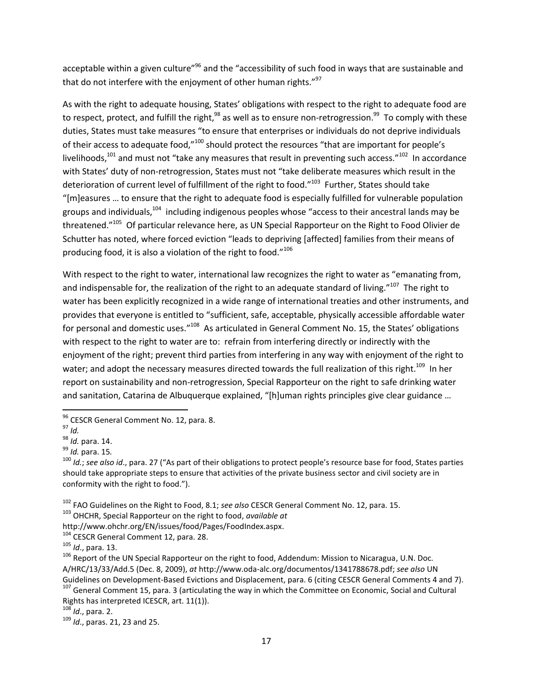acceptable within a given culture"<sup>96</sup> and the "accessibility of such food in ways that are sustainable and that do not interfere with the enjoyment of other human rights."<sup>97</sup>

As with the right to adequate housing, States' obligations with respect to the right to adequate food are to respect, protect, and fulfill the right,<sup>98</sup> as well as to ensure non-retrogression.<sup>99</sup> To comply with these duties, States must take measures "to ensure that enterprises or individuals do not deprive individuals of their access to adequate food,"100 should protect the resources "that are important for people's livelihoods,<sup>101</sup> and must not "take any measures that result in preventing such access."<sup>102</sup> In accordance with States' duty of non-retrogression, States must not "take deliberate measures which result in the deterioration of current level of fulfillment of the right to food."<sup>103</sup> Further, States should take "[m]easures ... to ensure that the right to adequate food is especially fulfilled for vulnerable population groups and individuals,<sup>104</sup> including indigenous peoples whose "access to their ancestral lands may be threatened."<sup>105</sup> Of particular relevance here, as UN Special Rapporteur on the Right to Food Olivier de Schutter has noted, where forced eviction "leads to depriving [affected] families from their means of producing food, it is also a violation of the right to food." $^{106}$ 

With respect to the right to water, international law recognizes the right to water as "emanating from, and indispensable for, the realization of the right to an adequate standard of living."<sup>107</sup> The right to water has been explicitly recognized in a wide range of international treaties and other instruments, and provides that everyone is entitled to "sufficient, safe, acceptable, physically accessible affordable water for personal and domestic uses."<sup>108</sup> As articulated in General Comment No. 15, the States' obligations with respect to the right to water are to: refrain from interfering directly or indirectly with the enjoyment of the right; prevent third parties from interfering in any way with enjoyment of the right to water; and adopt the necessary measures directed towards the full realization of this right.<sup>109</sup> In her report on sustainability and non-retrogression, Special Rapporteur on the right to safe drinking water and sanitation, Catarina de Albuquerque explained, "[h]uman rights principles give clear guidance ...

<sup>&</sup>lt;sup>96</sup> CESCR General Comment No. 12, para. 8.

 $^{97}$  *Id.* 

<sup>98</sup> *Id.* para. 14.

<sup>99</sup> *Id.* para. 15*.*

<sup>100</sup> *Id.*; *see also id*., para. 27 ("As part of their obligations to protect people's resource base for food, States parties should take appropriate steps to ensure that activities of the private business sector and civil society are in conformity with the right to food.").

<sup>102</sup> FAO Guidelines on the Right to Food, 8.1; *see also* CESCR General Comment No. 12, para. 15.

<sup>103</sup> OHCHR, Special Rapporteur on the right to food, *available at* 

http://www.ohchr.org/EN/issues/food/Pages/FoodIndex.aspx.

<sup>&</sup>lt;sup>104</sup> CESCR General Comment 12, para. 28.

<sup>105</sup> *Id*., para. 13.

 $106$  Report of the UN Special Rapporteur on the right to food, Addendum: Mission to Nicaragua, U.N. Doc. A/HRC/13/33/Add.5 (Dec. 8, 2009), *at* http://www.oda-alc.org/documentos/1341788678.pdf; *see also* UN Guidelines on Development-Based Evictions and Displacement, para. 6 (citing CESCR General Comments 4 and 7).

<sup>&</sup>lt;sup>107</sup> General Comment 15, para. 3 (articulating the way in which the Committee on Economic, Social and Cultural Rights has interpreted ICESCR, art. 11(1)).

<sup>108</sup> *Id*., para. 2.

<sup>109</sup> *Id*., paras. 21, 23 and 25.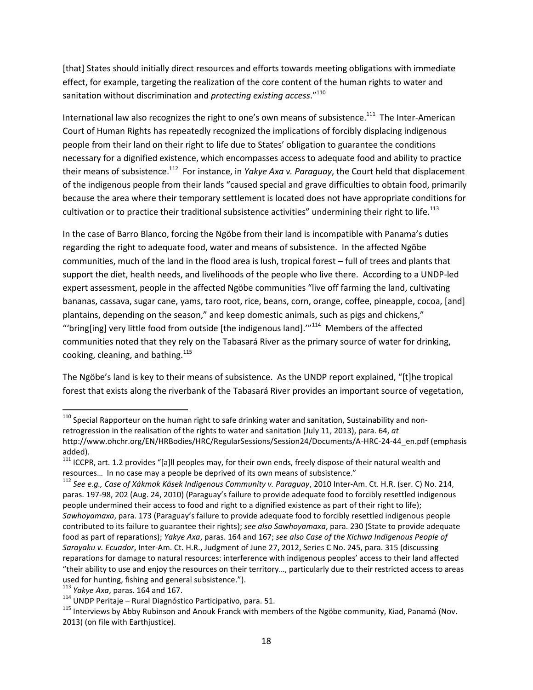[that] States should initially direct resources and efforts towards meeting obligations with immediate effect, for example, targeting the realization of the core content of the human rights to water and sanitation without discrimination and *protecting existing access*." 110

International law also recognizes the right to one's own means of subsistence.<sup>111</sup> The Inter-American Court of Human Rights has repeatedly recognized the implications of forcibly displacing indigenous people from their land on their right to life due to States' obligation to guarantee the conditions necessary for a dignified existence, which encompasses access to adequate food and ability to practice their means of subsistence.<sup>112</sup> For instance, in *Yakye Axa v. Paraguay*, the Court held that displacement of the indigenous people from their lands "caused special and grave difficulties to obtain food, primarily because the area where their temporary settlement is located does not have appropriate conditions for cultivation or to practice their traditional subsistence activities" undermining their right to life.<sup>113</sup>

In the case of Barro Blanco, forcing the Ngöbe from their land is incompatible with Panama's duties regarding the right to adequate food, water and means of subsistence. In the affected Ngöbe communities, much of the land in the flood area is lush, tropical forest – full of trees and plants that support the diet, health needs, and livelihoods of the people who live there. According to a UNDP-led expert assessment, people in the affected Ngöbe communities "live off farming the land, cultivating bananas, cassava, sugar cane, yams, taro root, rice, beans, corn, orange, coffee, pineapple, cocoa, [and] plantains, depending on the season," and keep domestic animals, such as pigs and chickens," "'bring[ing] very little food from outside [the indigenous land]. $''^{114}$  Members of the affected communities noted that they rely on the Tabasará River as the primary source of water for drinking, cooking, cleaning, and bathing. $115$ 

The Ngöbe's land is key to their means of subsistence. As the UNDP report explained, "[t]he tropical forest that exists along the riverbank of the Tabasará River provides an important source of vegetation,

 $^{110}$  Special Rapporteur on the human right to safe drinking water and sanitation, Sustainability and nonretrogression in the realisation of the rights to water and sanitation (July 11, 2013), para. 64, *at* http://www.ohchr.org/EN/HRBodies/HRC/RegularSessions/Session24/Documents/A-HRC-24-44\_en.pdf (emphasis added).

 $111$  ICCPR, art. 1.2 provides "[a]II peoples may, for their own ends, freely dispose of their natural wealth and resources… In no case may a people be deprived of its own means of subsistence."

<sup>112</sup> *See e.g., Case of Xákmok Kásek Indigenous Community v. Paraguay*, 2010 Inter-Am. Ct. H.R. (ser. C) No. 214, paras. 197-98, 202 (Aug. 24, 2010) (Paraguay's failure to provide adequate food to forcibly resettled indigenous people undermined their access to food and right to a dignified existence as part of their right to life); *Sawhoyamaxa*, para. 173 (Paraguay's failure to provide adequate food to forcibly resettled indigenous people contributed to its failure to guarantee their rights); *see also Sawhoyamaxa*, para. 230 (State to provide adequate food as part of reparations); *Yakye Axa*, paras. 164 and 167; *see also Case of the Kichwa Indigenous People of Sarayaku v. Ecuador*, Inter*-*Am. Ct. H.R., Judgment of June 27, 2012, Series C No. 245, para. 315 (discussing reparations for damage to natural resources: interference with indigenous peoples' access to their land affected "their ability to use and enjoy the resources on their territory…, particularly due to their restricted access to areas used for hunting, fishing and general subsistence.").

<sup>113</sup> *Yakye Axa*, paras. 164 and 167.

 $114$  UNDP Peritaje – Rural Diagnóstico Participativo, para. 51.

<sup>&</sup>lt;sup>115</sup> Interviews by Abby Rubinson and Anouk Franck with members of the Ngöbe community, Kiad, Panamá (Nov. 2013) (on file with Earthjustice).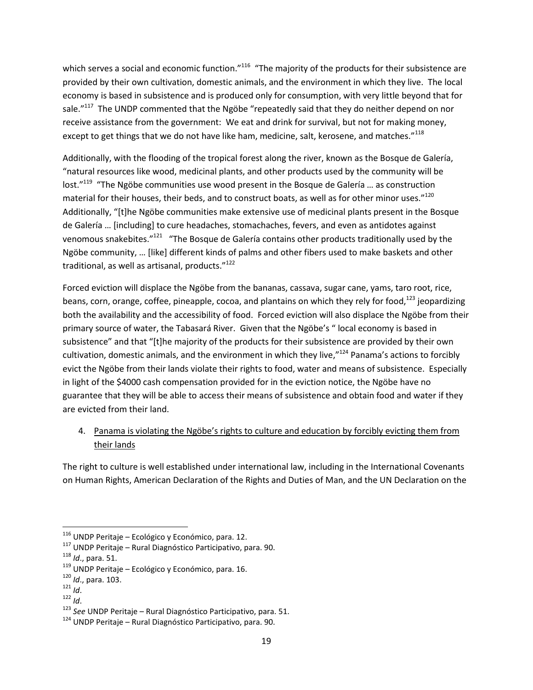which serves a social and economic function."<sup>116</sup> "The majority of the products for their subsistence are provided by their own cultivation, domestic animals, and the environment in which they live. The local economy is based in subsistence and is produced only for consumption, with very little beyond that for sale."<sup>117</sup> The UNDP commented that the Ngöbe "repeatedly said that they do neither depend on nor receive assistance from the government: We eat and drink for survival, but not for making money, except to get things that we do not have like ham, medicine, salt, kerosene, and matches." $^{118}$ 

Additionally, with the flooding of the tropical forest along the river, known as the Bosque de Galería, "natural resources like wood, medicinal plants, and other products used by the community will be lost."<sup>119</sup> "The Ngöbe communities use wood present in the Bosque de Galería ... as construction material for their houses, their beds, and to construct boats, as well as for other minor uses." $^{120}$ Additionally, "[t]he Ngöbe communities make extensive use of medicinal plants present in the Bosque de Galería ... [including] to cure headaches, stomachaches, fevers, and even as antidotes against venomous snakebites."<sup>121</sup> "The Bosque de Galería contains other products traditionally used by the Ngöbe community, ... [like] different kinds of palms and other fibers used to make baskets and other traditional, as well as artisanal, products."<sup>122</sup>

Forced eviction will displace the Ngöbe from the bananas, cassava, sugar cane, yams, taro root, rice, beans, corn, orange, coffee, pineapple, cocoa, and plantains on which they rely for food,<sup>123</sup> jeopardizing both the availability and the accessibility of food. Forced eviction will also displace the Ngöbe from their primary source of water, the Tabasará River. Given that the Ngöbe's " local economy is based in subsistence" and that "[t]he majority of the products for their subsistence are provided by their own cultivation, domestic animals, and the environment in which they live,"<sup>124</sup> Panama's actions to forcibly evict the Ngöbe from their lands violate their rights to food, water and means of subsistence. Especially in light of the \$4000 cash compensation provided for in the eviction notice, the Ngöbe have no guarantee that they will be able to access their means of subsistence and obtain food and water if they are evicted from their land.

## 4. Panama is violating the Ngöbe's rights to culture and education by forcibly evicting them from their lands

The right to culture is well established under international law, including in the International Covenants on Human Rights, American Declaration of the Rights and Duties of Man, and the UN Declaration on the

 $116$  UNDP Peritaje – Ecológico y Económico, para. 12.

<sup>117</sup> UNDP Peritaje – Rural Diagnóstico Participativo, para. 90.

<sup>118</sup> *Id*., para. 51.

<sup>119</sup> UNDP Peritaje – Ecológico y Económico, para. 16.

<sup>120</sup> *Id*., para. 103.

<sup>121</sup> *Id*.

 $122$  *Id.* 

<sup>123</sup> *See* UNDP Peritaje – Rural Diagnóstico Participativo, para. 51.

 $124$  UNDP Peritaje – Rural Diagnóstico Participativo, para. 90.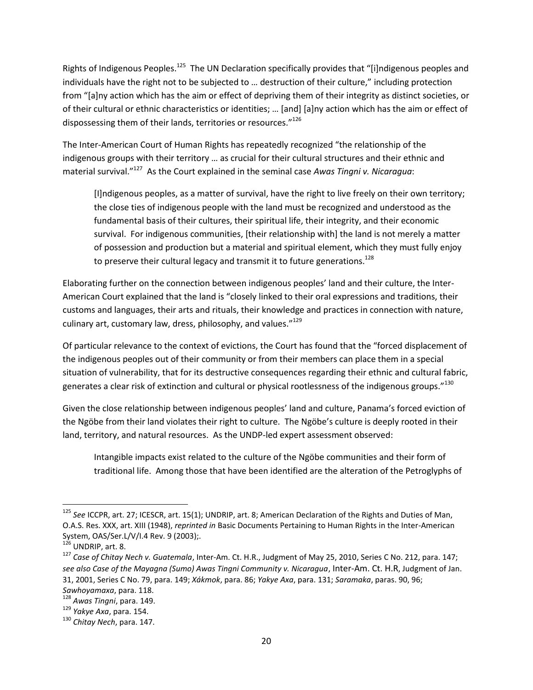Rights of Indigenous Peoples.<sup>125</sup> The UN Declaration specifically provides that "[i]ndigenous peoples and individuals have the right not to be subjected to … destruction of their culture," including protection from "[a]ny action which has the aim or effect of depriving them of their integrity as distinct societies, or of their cultural or ethnic characteristics or identities; ... [and] [a]ny action which has the aim or effect of dispossessing them of their lands, territories or resources."<sup>126</sup>

The Inter-American Court of Human Rights has repeatedly recognized "the relationship of the indigenous groups with their territory … as crucial for their cultural structures and their ethnic and material survival."<sup>127</sup> As the Court explained in the seminal case *Awas Tingni v. Nicaragua*:

[I]ndigenous peoples, as a matter of survival, have the right to live freely on their own territory; the close ties of indigenous people with the land must be recognized and understood as the fundamental basis of their cultures, their spiritual life, their integrity, and their economic survival. For indigenous communities, [their relationship with] the land is not merely a matter of possession and production but a material and spiritual element, which they must fully enjoy to preserve their cultural legacy and transmit it to future generations.<sup>128</sup>

Elaborating further on the connection between indigenous peoples' land and their culture, the Inter-American Court explained that the land is "closely linked to their oral expressions and traditions, their customs and languages, their arts and rituals, their knowledge and practices in connection with nature, culinary art, customary law, dress, philosophy, and values."<sup>129</sup>

Of particular relevance to the context of evictions, the Court has found that the "forced displacement of the indigenous peoples out of their community or from their members can place them in a special situation of vulnerability, that for its destructive consequences regarding their ethnic and cultural fabric, generates a clear risk of extinction and cultural or physical rootlessness of the indigenous groups." $^{130}$ 

Given the close relationship between indigenous peoples' land and culture, Panama's forced eviction of the Ngöbe from their land violates their right to culture. The Ngöbe's culture is deeply rooted in their land, territory, and natural resources. As the UNDP-led expert assessment observed:

Intangible impacts exist related to the culture of the Ngöbe communities and their form of traditional life. Among those that have been identified are the alteration of the Petroglyphs of

<sup>125</sup> *See* ICCPR, art. 27; ICESCR, art. 15(1); UNDRIP, art. 8; American Declaration of the Rights and Duties of Man, O.A.S. Res. XXX, art. XIII (1948), *reprinted in* Basic Documents Pertaining to Human Rights in the Inter-American System, OAS/Ser.L/V/I.4 Rev. 9 (2003);.

 $126$  UNDRIP, art. 8.

<sup>127</sup> *Case of Chitay Nech v. Guatemala*, Inter-Am. Ct. H.R., Judgment of May 25, 2010, Series C No. 212, para. 147; *see also Case of the Mayagna (Sumo) Awas Tingni Community v. Nicaragua*, Inter-Am. Ct. H.R, Judgment of Jan. 31, 2001, Series C No. 79, para. 149; *Xákmok*, para. 86; *Yakye Axa*, para. 131; *Saramaka*, paras. 90, 96;

*Sawhoyamaxa*, para. 118.

<sup>128</sup> *Awas Tingni*, para. 149.

<sup>129</sup> *Yakye Axa*, para. 154.

<sup>130</sup> *Chitay Nech*, para. 147.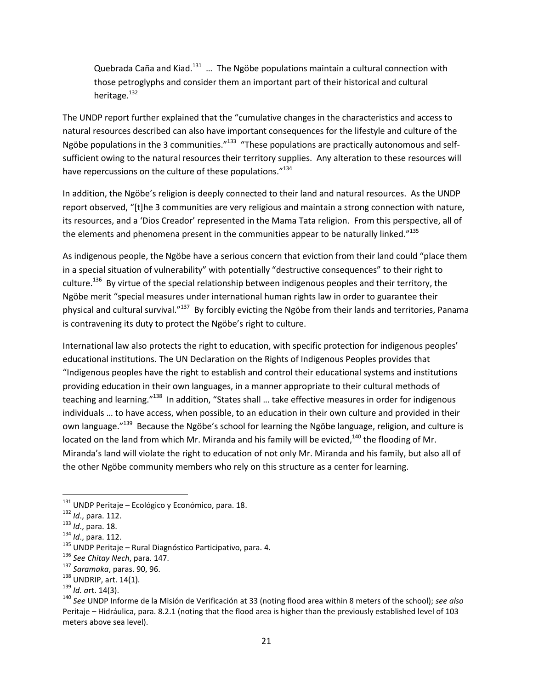Quebrada Caña and Kiad. $^{131}$  ... The Ngöbe populations maintain a cultural connection with those petroglyphs and consider them an important part of their historical and cultural heritage. $132$ 

The UNDP report further explained that the "cumulative changes in the characteristics and access to natural resources described can also have important consequences for the lifestyle and culture of the Ngöbe populations in the 3 communities."<sup>133</sup> "These populations are practically autonomous and selfsufficient owing to the natural resources their territory supplies. Any alteration to these resources will have repercussions on the culture of these populations."<sup>134</sup>

In addition, the Ngöbe's religion is deeply connected to their land and natural resources. As the UNDP report observed, "[t]he 3 communities are very religious and maintain a strong connection with nature, its resources, and a 'Dios Creador' represented in the Mama Tata religion. From this perspective, all of the elements and phenomena present in the communities appear to be naturally linked."<sup>135</sup>

As indigenous people, the Ngöbe have a serious concern that eviction from their land could "place them in a special situation of vulnerability" with potentially "destructive consequences" to their right to culture.<sup>136</sup> By virtue of the special relationship between indigenous peoples and their territory, the Ngöbe merit "special measures under international human rights law in order to guarantee their physical and cultural survival."<sup>137</sup> By forcibly evicting the Ngöbe from their lands and territories, Panama is contravening its duty to protect the Ngöbe's right to culture.

International law also protects the right to education, with specific protection for indigenous peoples' educational institutions. The UN Declaration on the Rights of Indigenous Peoples provides that "Indigenous peoples have the right to establish and control their educational systems and institutions providing education in their own languages, in a manner appropriate to their cultural methods of teaching and learning."<sup>138</sup> In addition, "States shall ... take effective measures in order for indigenous individuals … to have access, when possible, to an education in their own culture and provided in their own language."<sup>139</sup> Because the Ngöbe's school for learning the Ngöbe language, religion, and culture is located on the land from which Mr. Miranda and his family will be evicted,<sup>140</sup> the flooding of Mr. Miranda's land will violate the right to education of not only Mr. Miranda and his family, but also all of the other Ngöbe community members who rely on this structure as a center for learning.

 $\overline{\phantom{a}}$  $131$  UNDP Peritaje – Ecológico y Económico, para. 18.

<sup>132</sup> *Id*., para. 112.

<sup>133</sup> *Id*., para. 18.

<sup>134</sup> *Id*., para. 112.

<sup>&</sup>lt;sup>135</sup> UNDP Peritaje – Rural Diagnóstico Participativo, para. 4.

<sup>136</sup> *See Chitay Nech*, para. 147.

<sup>137</sup> *Saramaka*, paras. 90, 96.

 $138$  UNDRIP, art. 14(1).

<sup>139</sup> *Id. a*rt. 14(3).

<sup>140</sup> *See* UNDP Informe de la Misión de Verificación at 33 (noting flood area within 8 meters of the school); *see also*  Peritaje – Hidráulica, para. 8.2.1 (noting that the flood area is higher than the previously established level of 103 meters above sea level).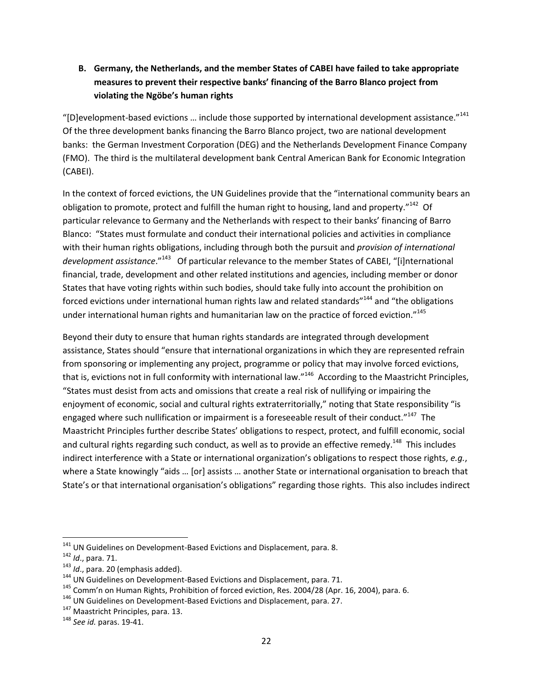## **B. Germany, the Netherlands, and the member States of CABEI have failed to take appropriate measures to prevent their respective banks' financing of the Barro Blanco project from violating the Ngöbe's human rights**

"[D]evelopment-based evictions ... include those supported by international development assistance."<sup>141</sup> Of the three development banks financing the Barro Blanco project, two are national development banks: the German Investment Corporation (DEG) and the Netherlands Development Finance Company (FMO). The third is the multilateral development bank Central American Bank for Economic Integration (CABEI).

In the context of forced evictions, the UN Guidelines provide that the "international community bears an obligation to promote, protect and fulfill the human right to housing, land and property."<sup>142</sup> Of particular relevance to Germany and the Netherlands with respect to their banks' financing of Barro Blanco: "States must formulate and conduct their international policies and activities in compliance with their human rights obligations, including through both the pursuit and *provision of international development assistance.*"<sup>143</sup> Of particular relevance to the member States of CABEI, "[i]nternational financial, trade, development and other related institutions and agencies, including member or donor States that have voting rights within such bodies, should take fully into account the prohibition on forced evictions under international human rights law and related standards"<sup>144</sup> and "the obligations under international human rights and humanitarian law on the practice of forced eviction."<sup>145</sup> 

Beyond their duty to ensure that human rights standards are integrated through development assistance, States should "ensure that international organizations in which they are represented refrain from sponsoring or implementing any project, programme or policy that may involve forced evictions, that is, evictions not in full conformity with international law."<sup>146</sup> According to the Maastricht Principles, "States must desist from acts and omissions that create a real risk of nullifying or impairing the enjoyment of economic, social and cultural rights extraterritorially," noting that State responsibility "is engaged where such nullification or impairment is a foreseeable result of their conduct."<sup>147</sup> The Maastricht Principles further describe States' obligations to respect, protect, and fulfill economic, social and cultural rights regarding such conduct, as well as to provide an effective remedy.<sup>148</sup> This includes indirect interference with a State or international organization's obligations to respect those rights, *e.g.*, where a State knowingly "aids ... [or] assists ... another State or international organisation to breach that State's or that international organisation's obligations" regarding those rights. This also includes indirect

<sup>&</sup>lt;sup>141</sup> UN Guidelines on Development-Based Evictions and Displacement, para. 8.

<sup>142</sup> *Id*., para. 71.

<sup>143</sup> *Id*., para. 20 (emphasis added).

 $144$  UN Guidelines on Development-Based Evictions and Displacement, para. 71.

<sup>&</sup>lt;sup>145</sup> Comm'n on Human Rights, Prohibition of forced eviction, Res. 2004/28 (Apr. 16, 2004), para. 6.

<sup>&</sup>lt;sup>146</sup> UN Guidelines on Development-Based Evictions and Displacement, para. 27.

<sup>&</sup>lt;sup>147</sup> Maastricht Principles, para. 13.

<sup>148</sup> *See id.* paras. 19-41.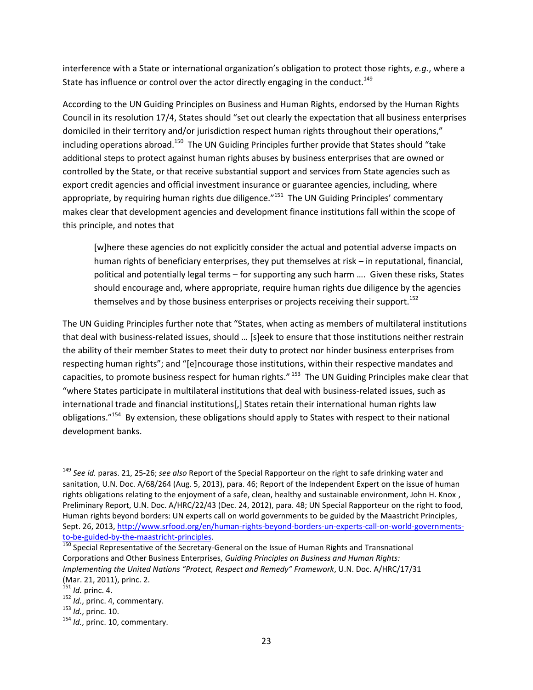interference with a State or international organization's obligation to protect those rights, *e.g.*, where a State has influence or control over the actor directly engaging in the conduct.<sup>149</sup>

According to the UN Guiding Principles on Business and Human Rights, endorsed by the Human Rights Council in its resolution 17/4, States should "set out clearly the expectation that all business enterprises domiciled in their territory and/or jurisdiction respect human rights throughout their operations," including operations abroad.<sup>150</sup> The UN Guiding Principles further provide that States should "take additional steps to protect against human rights abuses by business enterprises that are owned or controlled by the State, or that receive substantial support and services from State agencies such as export credit agencies and official investment insurance or guarantee agencies, including, where appropriate, by requiring human rights due diligence."<sup>151</sup> The UN Guiding Principles' commentary makes clear that development agencies and development finance institutions fall within the scope of this principle, and notes that

[w]here these agencies do not explicitly consider the actual and potential adverse impacts on human rights of beneficiary enterprises, they put themselves at risk – in reputational, financial, political and potentially legal terms – for supporting any such harm …. Given these risks, States should encourage and, where appropriate, require human rights due diligence by the agencies themselves and by those business enterprises or projects receiving their support.<sup>152</sup>

The UN Guiding Principles further note that "States, when acting as members of multilateral institutions that deal with business-related issues, should ... [s]eek to ensure that those institutions neither restrain the ability of their member States to meet their duty to protect nor hinder business enterprises from respecting human rights"; and "[e]ncourage those institutions, within their respective mandates and capacities, to promote business respect for human rights." <sup>153</sup> The UN Guiding Principles make clear that "where States participate in multilateral institutions that deal with business-related issues, such as international trade and financial institutions[,] States retain their international human rights law obligations."<sup>154</sup> By extension, these obligations should apply to States with respect to their national development banks.

<sup>149</sup> *See id.* paras. 21, 25-26; *see also* Report of the Special Rapporteur on the right to safe drinking water and sanitation, U.N. Doc. A/68/264 (Aug. 5, 2013), para. 46; Report of the Independent Expert on the issue of human rights obligations relating to the enjoyment of a safe, clean, healthy and sustainable environment, John H. Knox , Preliminary Report, U.N. Doc. A/HRC/22/43 (Dec. 24, 2012), para. 48; UN Special Rapporteur on the right to food, Human rights beyond borders: UN experts call on world governments to be guided by the Maastricht Principles, Sept. 26, 2013, [http://www.srfood.org/en/human-rights-beyond-borders-un-experts-call-on-world-governments](http://www.srfood.org/en/human-rights-beyond-borders-un-experts-call-on-world-governments-to-be-guided-by-the-maastricht-principles)[to-be-guided-by-the-maastricht-principles.](http://www.srfood.org/en/human-rights-beyond-borders-un-experts-call-on-world-governments-to-be-guided-by-the-maastricht-principles)

 $\frac{150}{150}$  Special Representative of the Secretary-General on the Issue of Human Rights and Transnational Corporations and Other Business Enterprises, *Guiding Principles on Business and Human Rights: Implementing the United Nations "Protect, Respect and Remedy" Framework*, U.N. Doc. A/HRC/17/31 (Mar. 21, 2011), princ. 2.

<sup>151</sup> *Id.* princ. 4.

<sup>152</sup> *Id.*, princ. 4, commentary.

<sup>153</sup> *Id.*, princ. 10.

<sup>154</sup> *Id.*, princ. 10, commentary.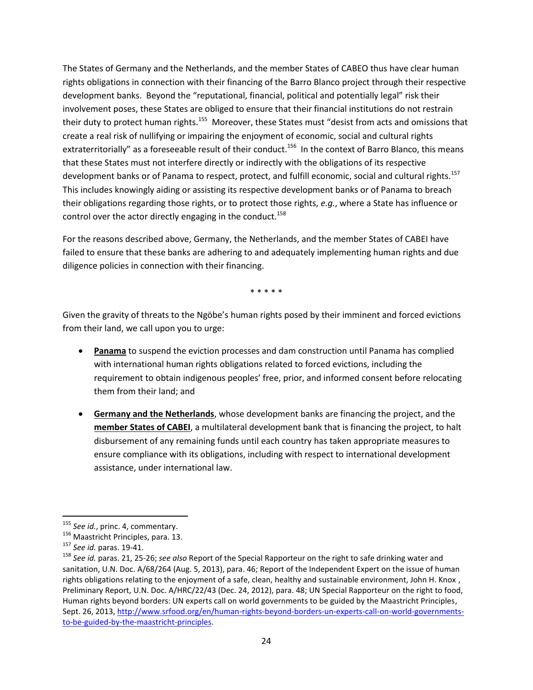The States of Germany and the Netherlands, and the member States of CABEO thus have clear human rights obligations in connection with their financing of the Barro Blanco project through their respective development banks. Beyond the "reputational, financial, political and potentially legal" risk their involvement poses, these States are obliged to ensure that their financial institutions do not restrain their duty to protect human rights.<sup>155</sup> Moreover, these States must "desist from acts and omissions that create a real risk of nullifying or impairing the enjoyment of economic, social and cultural rights extraterritorially" as a foreseeable result of their conduct.<sup>156</sup> In the context of Barro Blanco, this means that these States must not interfere directly or indirectly with the obligations of its respective development banks or of Panama to respect, protect, and fulfill economic, social and cultural rights.<sup>157</sup> This includes knowingly aiding or assisting its respective development banks or of Panama to breach their obligations regarding those rights, or to protect those rights, *e.g.*, where a State has influence or control over the actor directly engaging in the conduct.<sup>158</sup>

For the reasons described above, Germany, the Netherlands, and the member States of CABEI have failed to ensure that these banks are adhering to and adequately implementing human rights and due diligence policies in connection with their financing.

\* \* \* \* \*

Given the gravity of threats to the Ngöbe's human rights posed by their imminent and forced evictions from their land, we call upon you to urge:

- **Panama** to suspend the eviction processes and dam construction until Panama has complied with international human rights obligations related to forced evictions, including the requirement to obtain indigenous peoples' free, prior, and informed consent before relocating them from their land; and
- **Germany and the Netherlands**, whose development banks are financing the project, and the **member States of CABEI**, a multilateral development bank that is financing the project, to halt disbursement of any remaining funds until each country has taken appropriate measures to ensure compliance with its obligations, including with respect to international development assistance, under international law.

<sup>155</sup> *See id.*, princ. 4, commentary.

<sup>156</sup> Maastricht Principles, para. 13.

<sup>157</sup> *See id.* paras. 19-41.

<sup>158</sup> *See id.* paras. 21, 25-26; *see also* Report of the Special Rapporteur on the right to safe drinking water and sanitation, U.N. Doc. A/68/264 (Aug. 5, 2013), para. 46; Report of the Independent Expert on the issue of human rights obligations relating to the enjoyment of a safe, clean, healthy and sustainable environment, John H. Knox , Preliminary Report, U.N. Doc. A/HRC/22/43 (Dec. 24, 2012), para. 48; UN Special Rapporteur on the right to food, Human rights beyond borders: UN experts call on world governments to be guided by the Maastricht Principles, Sept. 26, 2013, [http://www.srfood.org/en/human-rights-beyond-borders-un-experts-call-on-world-governments](http://www.srfood.org/en/human-rights-beyond-borders-un-experts-call-on-world-governments-to-be-guided-by-the-maastricht-principles)[to-be-guided-by-the-maastricht-principles.](http://www.srfood.org/en/human-rights-beyond-borders-un-experts-call-on-world-governments-to-be-guided-by-the-maastricht-principles)